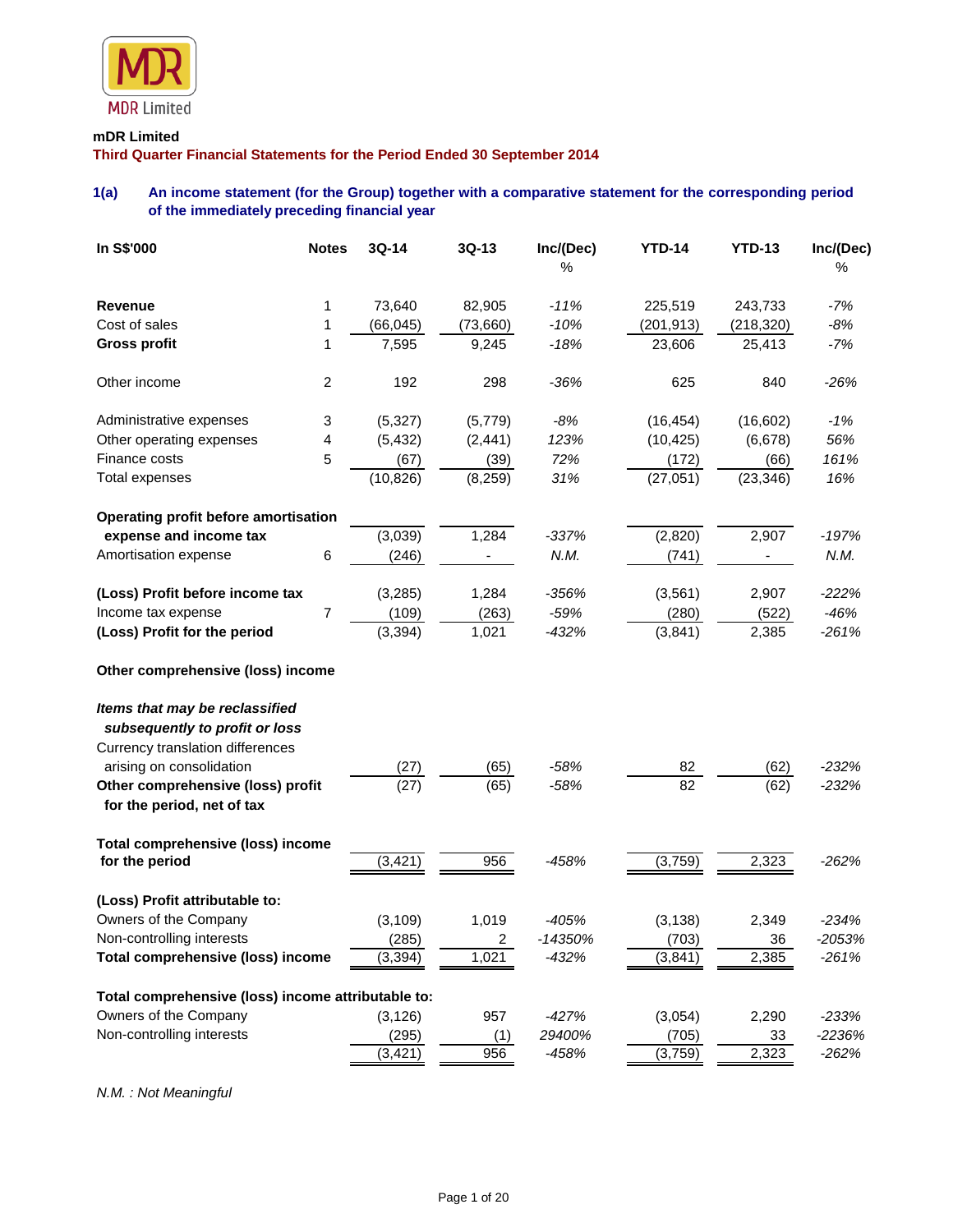

# **mDR Limited**

**Third Quarter Financial Statements for the Period Ended 30 September 2014**

# **1(a) An income statement (for the Group) together with a comparative statement for the corresponding period of the immediately preceding financial year**

| In S\$'000                                                         | <b>Notes</b>     | 3Q-14        | 3Q-13    | Inc/(Dec)<br>% | <b>YTD-14</b> | <b>YTD-13</b> | Inc/(Dec)<br>$\%$ |
|--------------------------------------------------------------------|------------------|--------------|----------|----------------|---------------|---------------|-------------------|
|                                                                    |                  |              |          |                |               |               |                   |
| <b>Revenue</b>                                                     | 1                | 73,640       | 82,905   | $-11%$         | 225,519       | 243,733       | $-7%$             |
| Cost of sales                                                      | 1                | (66, 045)    | (73,660) | $-10%$         | (201, 913)    | (218, 320)    | $-8%$             |
| <b>Gross profit</b>                                                | 1                | 7,595        | 9,245    | $-18%$         | 23,606        | 25,413        | $-7%$             |
| Other income                                                       | $\boldsymbol{2}$ | 192          | 298      | $-36%$         | 625           | 840           | $-26%$            |
| Administrative expenses                                            | 3                | (5, 327)     | (5,779)  | $-8%$          | (16, 454)     | (16, 602)     | $-1%$             |
| Other operating expenses                                           | 4                | (5, 432)     | (2, 441) | 123%           | (10, 425)     | (6,678)       | 56%               |
| Finance costs                                                      | 5                | (67)         | (39)     | 72%            | (172)         | (66)          | 161%              |
| <b>Total expenses</b>                                              |                  | (10, 826)    | (8, 259) | 31%            | (27, 051)     | (23, 346)     | 16%               |
| Operating profit before amortisation                               |                  |              |          |                |               |               |                   |
| expense and income tax                                             |                  | (3,039)      | 1,284    | $-337%$        | (2,820)       | 2,907         | $-197%$           |
| Amortisation expense                                               | 6                | (246)        |          | N.M.           | (741)         |               | N.M.              |
| (Loss) Profit before income tax                                    |                  | (3, 285)     | 1,284    | $-356%$        | (3, 561)      | 2,907         | $-222%$           |
| Income tax expense                                                 | 7                | (109)        | (263)    | $-59%$         | (280)         | (522)         | $-46%$            |
| (Loss) Profit for the period                                       |                  | (3, 394)     | 1,021    | $-432%$        | (3,841)       | 2,385         | $-261%$           |
| Other comprehensive (loss) income                                  |                  |              |          |                |               |               |                   |
| Items that may be reclassified                                     |                  |              |          |                |               |               |                   |
| subsequently to profit or loss<br>Currency translation differences |                  |              |          |                |               |               |                   |
| arising on consolidation                                           |                  |              | (65)     | $-58%$         | 82            | (62)          | $-232%$           |
| Other comprehensive (loss) profit                                  |                  | (27)<br>(27) | (65)     | $-58%$         | 82            | (62)          | $-232%$           |
| for the period, net of tax                                         |                  |              |          |                |               |               |                   |
| Total comprehensive (loss) income                                  |                  |              |          |                |               |               |                   |
| for the period                                                     |                  | (3, 421)     | 956      | $-458%$        | (3,759)       | 2,323         | $-262%$           |
| (Loss) Profit attributable to:                                     |                  |              |          |                |               |               |                   |
| Owners of the Company                                              |                  | (3, 109)     | 1,019    | $-405%$        | (3, 138)      | 2,349         | $-234%$           |
| Non-controlling interests                                          |                  | (285)        | 2        | -14350%        | (703)         | 36            | $-2053%$          |
| Total comprehensive (loss) income                                  |                  | (3, 394)     | 1,021    | $-432%$        | (3, 841)      | 2,385         | $-261%$           |
| Total comprehensive (loss) income attributable to:                 |                  |              |          |                |               |               |                   |
| Owners of the Company                                              |                  | (3, 126)     | 957      | $-427%$        | (3,054)       | 2,290         | $-233%$           |
| Non-controlling interests                                          |                  | (295)        | (1)      | 29400%         | (705)         | 33            | -2236%            |
|                                                                    |                  | (3, 421)     | 956      | -458%          | (3,759)       | 2,323         | $-262%$           |

*N.M. : Not Meaningful*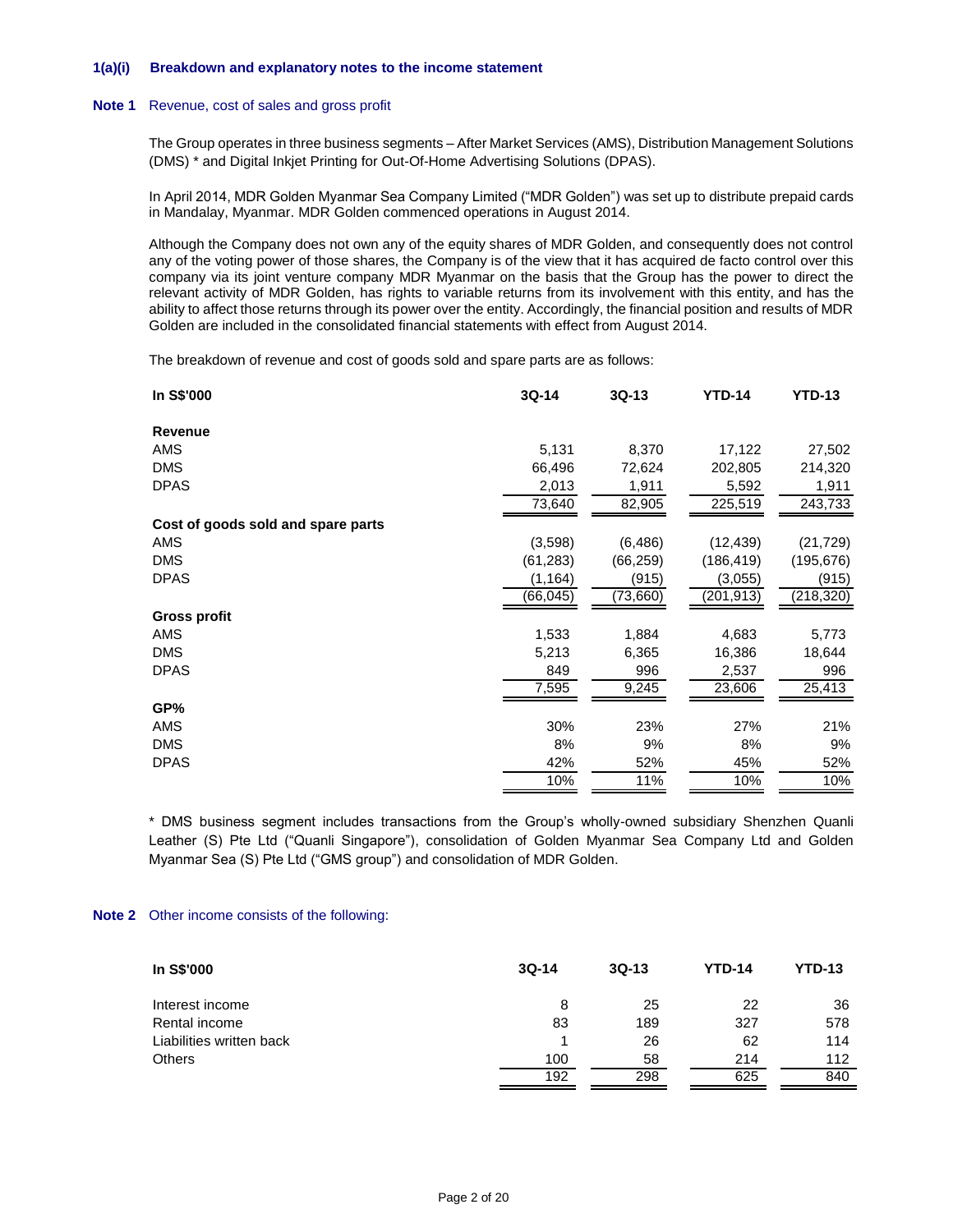### **1(a)(i) Breakdown and explanatory notes to the income statement**

#### **Note 1** Revenue, cost of sales and gross profit

The Group operates in three business segments – After Market Services (AMS), Distribution Management Solutions (DMS) \* and Digital Inkjet Printing for Out-Of-Home Advertising Solutions (DPAS).

In April 2014, MDR Golden Myanmar Sea Company Limited ("MDR Golden") was set up to distribute prepaid cards in Mandalay, Myanmar. MDR Golden commenced operations in August 2014.

Although the Company does not own any of the equity shares of MDR Golden, and consequently does not control any of the voting power of those shares, the Company is of the view that it has acquired de facto control over this company via its joint venture company MDR Myanmar on the basis that the Group has the power to direct the relevant activity of MDR Golden, has rights to variable returns from its involvement with this entity, and has the ability to affect those returns through its power over the entity. Accordingly, the financial position and results of MDR Golden are included in the consolidated financial statements with effect from August 2014.

The breakdown of revenue and cost of goods sold and spare parts are as follows:

| In S\$'000                         | 3Q-14     | $3Q-13$   | <b>YTD-14</b> | <b>YTD-13</b> |
|------------------------------------|-----------|-----------|---------------|---------------|
| <b>Revenue</b>                     |           |           |               |               |
| AMS                                | 5,131     | 8,370     | 17,122        | 27,502        |
| <b>DMS</b>                         | 66,496    | 72,624    | 202,805       | 214,320       |
| <b>DPAS</b>                        | 2,013     | 1,911     | 5,592         | 1,911         |
|                                    | 73,640    | 82,905    | 225,519       | 243,733       |
| Cost of goods sold and spare parts |           |           |               |               |
| AMS                                | (3,598)   | (6, 486)  | (12, 439)     | (21, 729)     |
| <b>DMS</b>                         | (61, 283) | (66, 259) | (186, 419)    | (195, 676)    |
| <b>DPAS</b>                        | (1, 164)  | (915)     | (3,055)       | (915)         |
|                                    | (66, 045) | (73,660)  | (201,913)     | (218, 320)    |
| Gross profit                       |           |           |               |               |
| AMS                                | 1,533     | 1,884     | 4,683         | 5,773         |
| <b>DMS</b>                         | 5,213     | 6,365     | 16,386        | 18,644        |
| <b>DPAS</b>                        | 849       | 996       | 2,537         | 996           |
|                                    | 7,595     | 9,245     | 23,606        | 25,413        |
| GP%                                |           |           |               |               |
| AMS                                | 30%       | 23%       | 27%           | 21%           |
| <b>DMS</b>                         | 8%        | 9%        | 8%            | 9%            |
| <b>DPAS</b>                        | 42%       | 52%       | 45%           | 52%           |
|                                    | 10%       | 11%       | 10%           | 10%           |
|                                    |           |           |               |               |

\* DMS business segment includes transactions from the Group's wholly-owned subsidiary Shenzhen Quanli Leather (S) Pte Ltd ("Quanli Singapore"), consolidation of Golden Myanmar Sea Company Ltd and Golden Myanmar Sea (S) Pte Ltd ("GMS group") and consolidation of MDR Golden.

### **Note 2** Other income consists of the following:

| In S\$'000               | $3Q-14$ | $3Q-13$ | <b>YTD-14</b> | <b>YTD-13</b> |
|--------------------------|---------|---------|---------------|---------------|
| Interest income          | 8       | 25      | 22            | 36            |
| Rental income            | 83      | 189     | 327           | 578           |
| Liabilities written back |         | 26      | 62            | 114           |
| <b>Others</b>            | 100     | 58      | 214           | 112           |
|                          | 192     | 298     | 625           | 840           |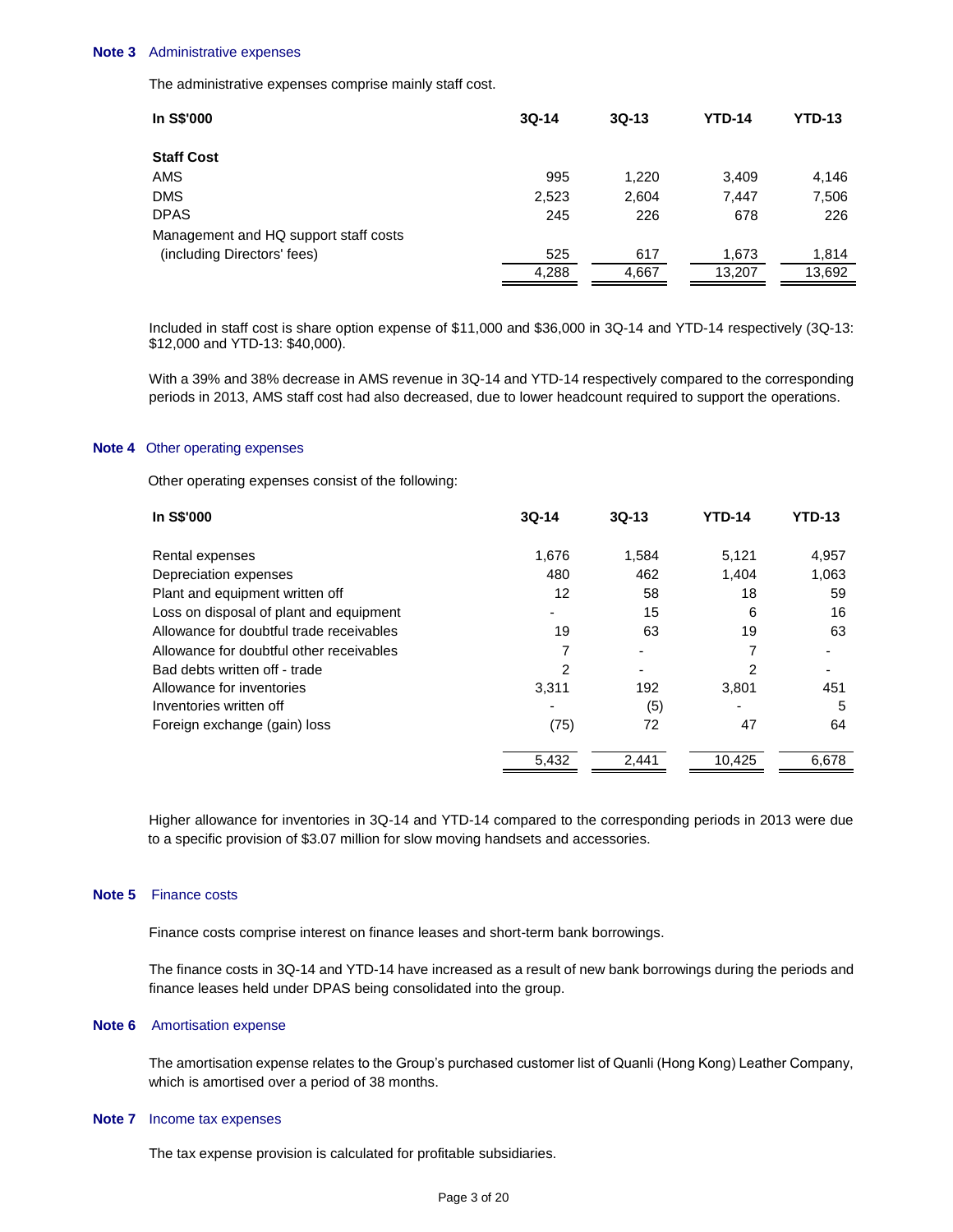#### **Note 3** Administrative expenses

The administrative expenses comprise mainly staff cost.

| In S\$'000                            | $3Q-14$ | $3Q-13$ | <b>YTD-14</b> | <b>YTD-13</b> |
|---------------------------------------|---------|---------|---------------|---------------|
| <b>Staff Cost</b>                     |         |         |               |               |
| AMS                                   | 995     | 1.220   | 3.409         | 4,146         |
| <b>DMS</b>                            | 2,523   | 2,604   | 7.447         | 7,506         |
| <b>DPAS</b>                           | 245     | 226     | 678           | 226           |
| Management and HQ support staff costs |         |         |               |               |
| (including Directors' fees)           | 525     | 617     | 1,673         | 1,814         |
|                                       | 4,288   | 4,667   | 13,207        | 13,692        |

Included in staff cost is share option expense of \$11,000 and \$36,000 in 3Q-14 and YTD-14 respectively (3Q-13: \$12,000 and YTD-13: \$40,000).

With a 39% and 38% decrease in AMS revenue in 3Q-14 and YTD-14 respectively compared to the corresponding periods in 2013, AMS staff cost had also decreased, due to lower headcount required to support the operations.

#### **Note 4** Other operating expenses

Other operating expenses consist of the following:

| In S\$'000                               | $3Q-14$                  | $3Q-13$ | <b>YTD-14</b> | <b>YTD-13</b> |
|------------------------------------------|--------------------------|---------|---------------|---------------|
| Rental expenses                          | 1,676                    | 1,584   | 5,121         | 4,957         |
| Depreciation expenses                    | 480                      | 462     | 1.404         | 1,063         |
| Plant and equipment written off          | 12                       | 58      | 18            | 59            |
| Loss on disposal of plant and equipment  |                          | 15      | 6             | 16            |
| Allowance for doubtful trade receivables | 19                       | 63      | 19            | 63            |
| Allowance for doubtful other receivables | 7                        |         | 7             |               |
| Bad debts written off - trade            | 2                        |         | 2             |               |
| Allowance for inventories                | 3,311                    | 192     | 3.801         | 451           |
| Inventories written off                  | $\overline{\phantom{a}}$ | (5)     | ٠             | 5             |
| Foreign exchange (gain) loss             | (75)                     | 72      | 47            | 64            |
|                                          | 5,432                    | 2.441   | 10.425        | 6,678         |

Higher allowance for inventories in 3Q-14 and YTD-14 compared to the corresponding periods in 2013 were due to a specific provision of \$3.07 million for slow moving handsets and accessories.

### **Note 5** Finance costs

Finance costs comprise interest on finance leases and short-term bank borrowings.

The finance costs in 3Q-14 and YTD-14 have increased as a result of new bank borrowings during the periods and finance leases held under DPAS being consolidated into the group.

## **Note 6** Amortisation expense

The amortisation expense relates to the Group's purchased customer list of Quanli (Hong Kong) Leather Company, which is amortised over a period of 38 months.

#### **Note 7** Income tax expenses

The tax expense provision is calculated for profitable subsidiaries.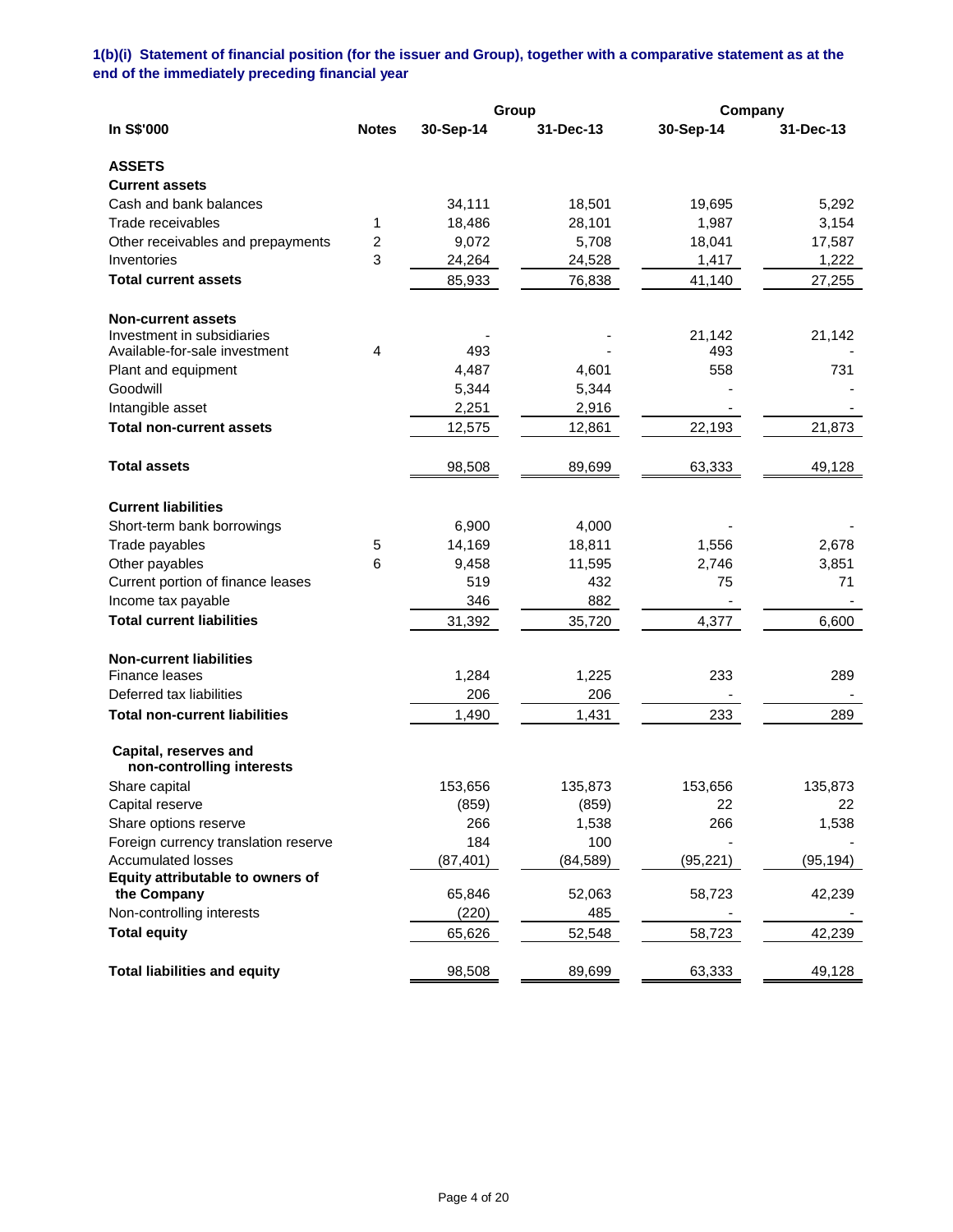**1(b)(i) Statement of financial position (for the issuer and Group), together with a comparative statement as at the end of the immediately preceding financial year**

|                                                    |                |           | Group     |           | Company   |  |
|----------------------------------------------------|----------------|-----------|-----------|-----------|-----------|--|
| In S\$'000                                         | <b>Notes</b>   | 30-Sep-14 | 31-Dec-13 | 30-Sep-14 | 31-Dec-13 |  |
| <b>ASSETS</b>                                      |                |           |           |           |           |  |
| <b>Current assets</b>                              |                |           |           |           |           |  |
| Cash and bank balances                             |                | 34,111    | 18,501    | 19,695    | 5,292     |  |
| Trade receivables                                  | 1              | 18,486    | 28,101    | 1,987     | 3,154     |  |
| Other receivables and prepayments                  | $\overline{2}$ | 9,072     | 5,708     | 18,041    | 17,587    |  |
| Inventories                                        | 3              | 24,264    | 24,528    | 1,417     | 1,222     |  |
| <b>Total current assets</b>                        |                | 85,933    | 76,838    | 41,140    | 27,255    |  |
| <b>Non-current assets</b>                          |                |           |           |           |           |  |
| Investment in subsidiaries                         |                |           |           | 21,142    | 21,142    |  |
| Available-for-sale investment                      | $\overline{4}$ | 493       |           | 493       |           |  |
| Plant and equipment                                |                | 4,487     | 4,601     | 558       | 731       |  |
| Goodwill                                           |                | 5,344     | 5,344     |           |           |  |
| Intangible asset                                   |                | 2,251     | 2,916     |           |           |  |
| <b>Total non-current assets</b>                    |                | 12,575    | 12,861    | 22,193    | 21,873    |  |
| <b>Total assets</b>                                |                | 98,508    | 89,699    | 63,333    | 49,128    |  |
| <b>Current liabilities</b>                         |                |           |           |           |           |  |
| Short-term bank borrowings                         |                | 6,900     | 4,000     |           |           |  |
| Trade payables                                     | 5              | 14,169    | 18,811    | 1,556     | 2,678     |  |
| Other payables                                     | 6              | 9,458     | 11,595    | 2,746     | 3,851     |  |
| Current portion of finance leases                  |                | 519       | 432       | 75        | 71        |  |
| Income tax payable                                 |                | 346       | 882       |           |           |  |
| <b>Total current liabilities</b>                   |                | 31,392    | 35,720    | 4,377     | 6,600     |  |
| <b>Non-current liabilities</b>                     |                |           |           |           |           |  |
| Finance leases                                     |                | 1,284     | 1,225     | 233       | 289       |  |
| Deferred tax liabilities                           |                | 206       | 206       |           |           |  |
| <b>Total non-current liabilities</b>               |                | 1,490     | 1,431     | 233       | 289       |  |
| Capital, reserves and<br>non-controlling interests |                |           |           |           |           |  |
| Share capital                                      |                | 153,656   | 135,873   | 153,656   | 135,873   |  |
| Capital reserve                                    |                | (859)     | (859)     | 22        | 22        |  |
| Share options reserve                              |                | 266       | 1,538     | 266       | 1,538     |  |
| Foreign currency translation reserve               |                | 184       | 100       |           |           |  |
| <b>Accumulated losses</b>                          |                | (87, 401) | (84, 589) | (95, 221) | (95, 194) |  |
| Equity attributable to owners of                   |                |           |           |           |           |  |
| the Company                                        |                | 65,846    | 52,063    | 58,723    | 42,239    |  |
| Non-controlling interests                          |                | (220)     | 485       |           |           |  |
| <b>Total equity</b>                                |                | 65,626    | 52,548    | 58,723    | 42,239    |  |
| <b>Total liabilities and equity</b>                |                | 98,508    | 89,699    | 63,333    | 49,128    |  |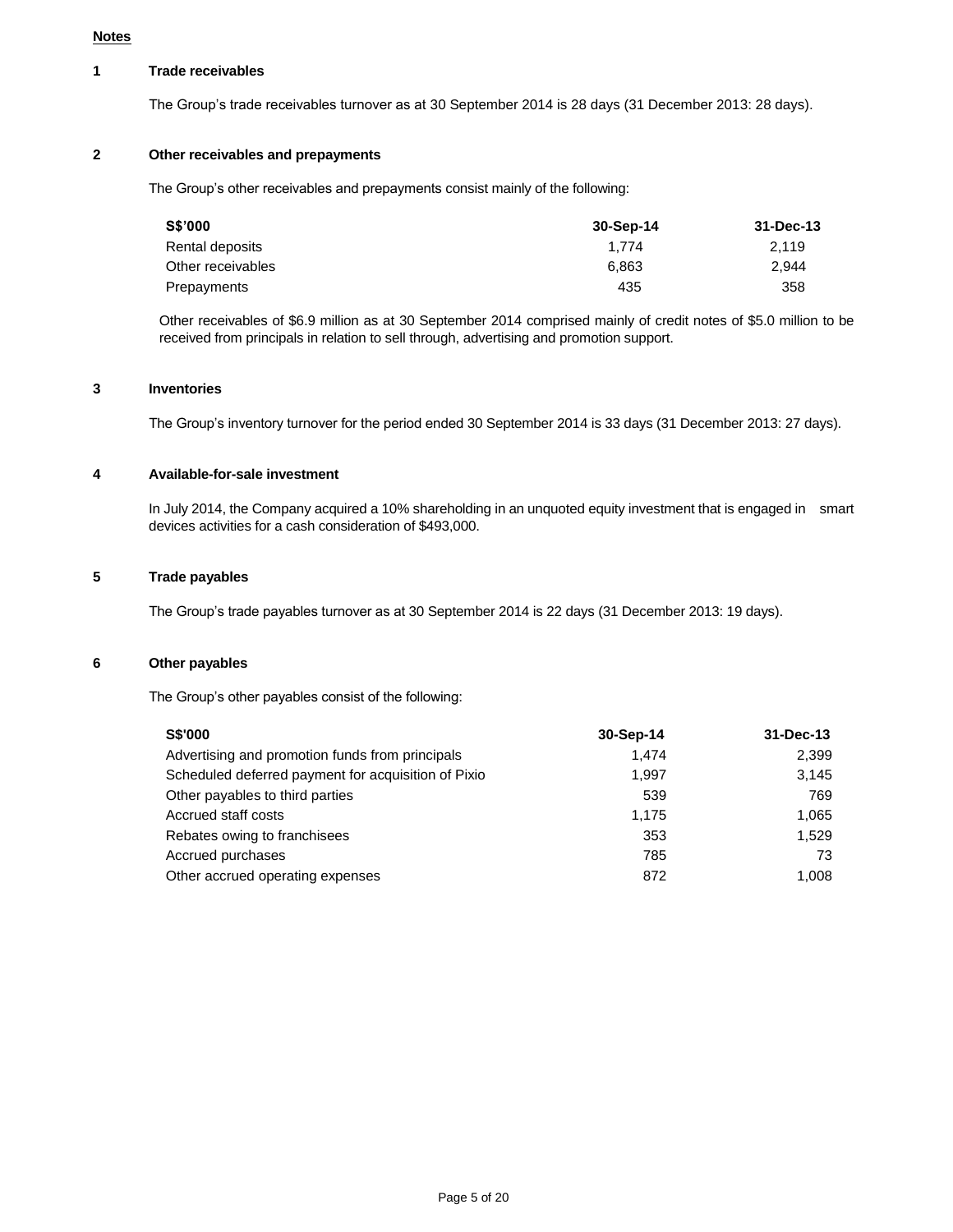#### **Notes**

### **1 Trade receivables**

The Group's trade receivables turnover as at 30 September 2014 is 28 days (31 December 2013: 28 days).

# **2 Other receivables and prepayments**

The Group's other receivables and prepayments consist mainly of the following:

| S\$'000           | 30-Sep-14 | 31-Dec-13 |
|-------------------|-----------|-----------|
| Rental deposits   | 1.774     | 2.119     |
| Other receivables | 6.863     | 2.944     |
| Prepayments       | 435       | 358       |

Other receivables of \$6.9 million as at 30 September 2014 comprised mainly of credit notes of \$5.0 million to be received from principals in relation to sell through, advertising and promotion support.

### **3 Inventories**

The Group's inventory turnover for the period ended 30 September 2014 is 33 days (31 December 2013: 27 days).

### **4 Available-for-sale investment**

In July 2014, the Company acquired a 10% shareholding in an unquoted equity investment that is engaged in smart devices activities for a cash consideration of \$493,000.

# **5 Trade payables**

The Group's trade payables turnover as at 30 September 2014 is 22 days (31 December 2013: 19 days).

### **6 Other payables**

The Group's other payables consist of the following:

| <b>S\$'000</b>                                      | 30-Sep-14 | 31-Dec-13 |
|-----------------------------------------------------|-----------|-----------|
| Advertising and promotion funds from principals     | 1.474     | 2.399     |
| Scheduled deferred payment for acquisition of Pixio | 1.997     | 3.145     |
| Other payables to third parties                     | 539       | 769       |
| Accrued staff costs                                 | 1.175     | 1.065     |
| Rebates owing to franchisees                        | 353       | 1.529     |
| Accrued purchases                                   | 785       | 73        |
| Other accrued operating expenses                    | 872       | 1.008     |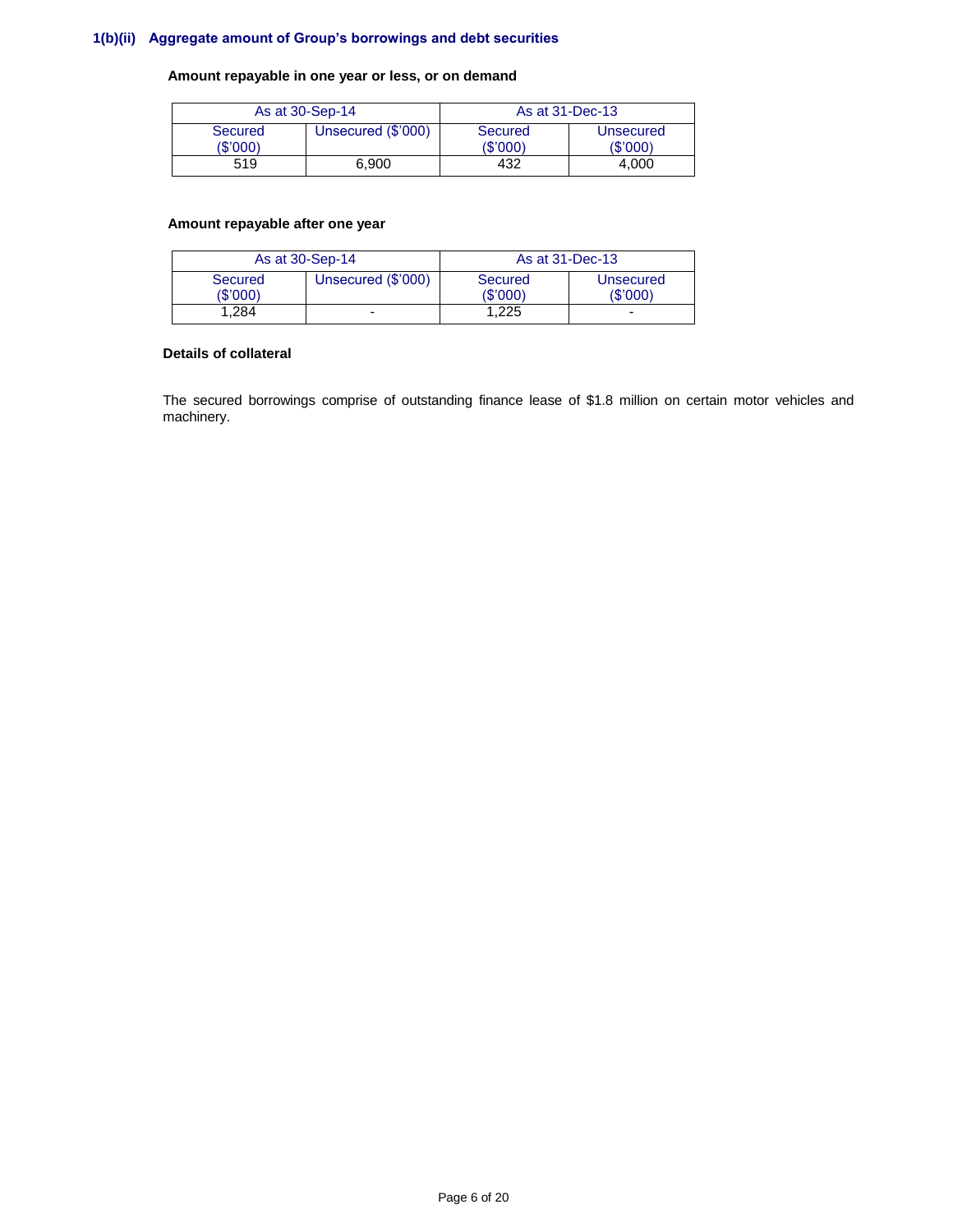# **1(b)(ii) Aggregate amount of Group's borrowings and debt securities**

## **Amount repayable in one year or less, or on demand**

| As at 30-Sep-14     |                    | As at 31-Dec-13    |                             |  |
|---------------------|--------------------|--------------------|-----------------------------|--|
| Secured<br>(\$'000) | Unsecured (\$'000) | Secured<br>(S'000) | <b>Unsecured</b><br>(S'000) |  |
| 519                 | 6.900              | 432                | 4.000                       |  |

# **Amount repayable after one year**

| As at 30-Sep-14            |                    | As at 31-Dec-13     |                              |
|----------------------------|--------------------|---------------------|------------------------------|
| <b>Secured</b><br>(\$'000) | Unsecured (\$'000) | Secured<br>(\$'000) | <b>Unsecured</b><br>(\$'000) |
| .284                       |                    | 1.225               | -                            |

#### **Details of collateral**

The secured borrowings comprise of outstanding finance lease of \$1.8 million on certain motor vehicles and machinery.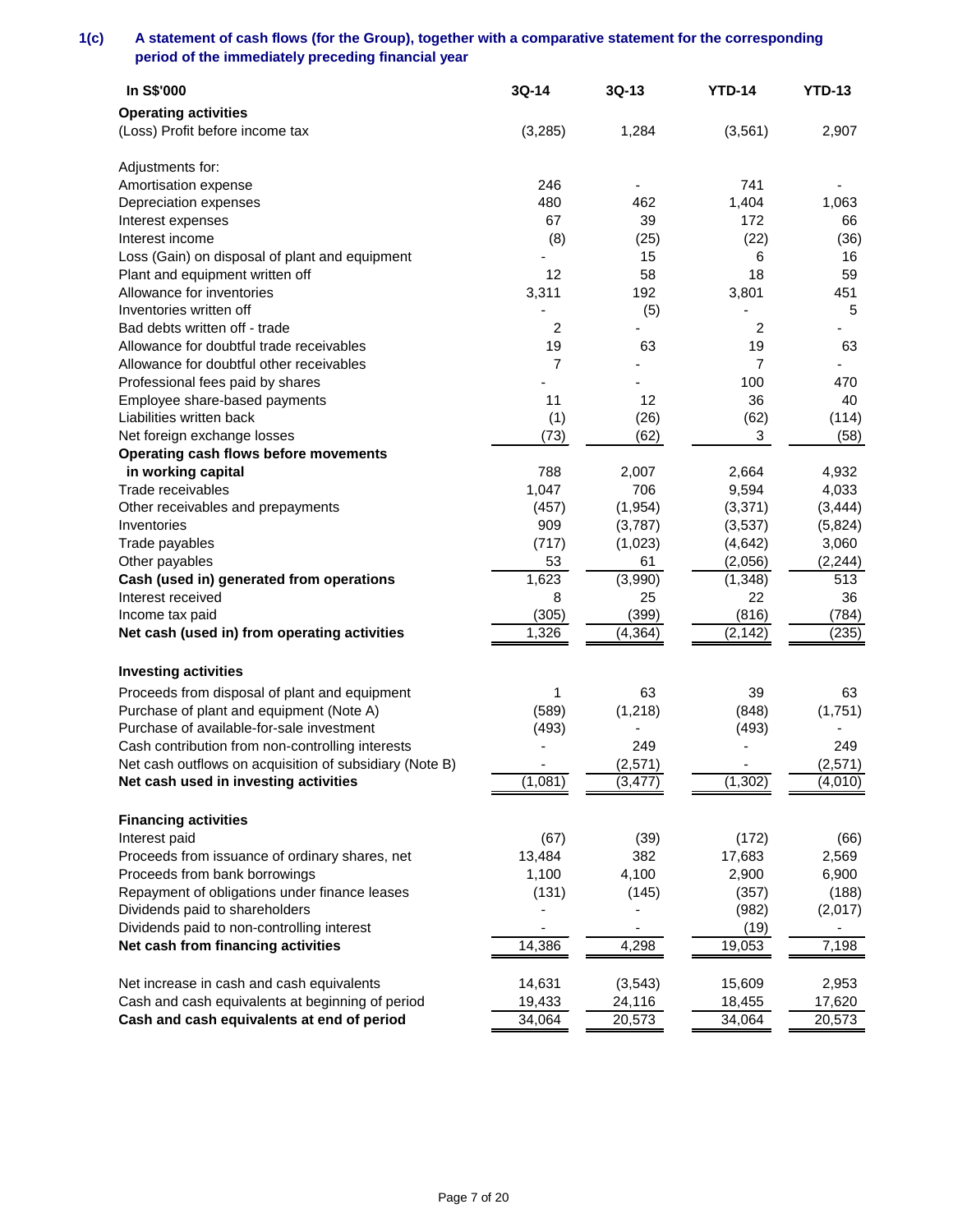# **1(c) A statement of cash flows (for the Group), together with a comparative statement for the corresponding period of the immediately preceding financial year**

| In S\$'000                                              | 3Q-14          | $3Q-13$  | <b>YTD-14</b> | <b>YTD-13</b> |
|---------------------------------------------------------|----------------|----------|---------------|---------------|
| <b>Operating activities</b>                             |                |          |               |               |
| (Loss) Profit before income tax                         | (3,285)        | 1,284    | (3, 561)      | 2,907         |
|                                                         |                |          |               |               |
| Adjustments for:                                        |                |          |               |               |
| Amortisation expense                                    | 246            |          | 741           |               |
| Depreciation expenses                                   | 480            | 462      | 1,404         | 1,063         |
| Interest expenses                                       | 67             | 39       | 172           | 66            |
| Interest income                                         | (8)            | (25)     | (22)          | (36)          |
| Loss (Gain) on disposal of plant and equipment          |                | 15       | 6             | 16            |
| Plant and equipment written off                         | 12             | 58       | 18            | 59            |
| Allowance for inventories                               | 3,311          | 192      | 3,801         | 451           |
| Inventories written off                                 |                | (5)      |               | 5             |
| Bad debts written off - trade                           | 2              |          | 2             |               |
| Allowance for doubtful trade receivables                | 19             | 63       | 19            | 63            |
| Allowance for doubtful other receivables                | $\overline{7}$ |          | 7             |               |
| Professional fees paid by shares                        |                |          | 100           | 470           |
| Employee share-based payments                           | 11             | 12       | 36            | 40            |
| Liabilities written back                                | (1)            | (26)     | (62)          | (114)         |
| Net foreign exchange losses                             | (73)           | (62)     | 3             | (58)          |
| Operating cash flows before movements                   |                |          |               |               |
| in working capital                                      | 788            | 2,007    | 2,664         | 4,932         |
| Trade receivables                                       | 1,047          | 706      | 9,594         | 4,033         |
| Other receivables and prepayments                       | (457)          | (1,954)  | (3, 371)      | (3, 444)      |
| Inventories                                             | 909            | (3,787)  | (3,537)       | (5,824)       |
| Trade payables                                          | (717)          | (1,023)  | (4, 642)      | 3,060         |
| Other payables                                          | 53             | 61       | (2,056)       | (2, 244)      |
| Cash (used in) generated from operations                | 1,623          | (3,990)  | (1, 348)      | 513           |
| Interest received                                       | 8              | 25       | 22            | 36            |
| Income tax paid                                         | (305)          | (399)    | (816)         | (784)         |
| Net cash (used in) from operating activities            | 1,326          | (4, 364) | (2, 142)      | (235)         |
|                                                         |                |          |               |               |
| <b>Investing activities</b>                             |                |          |               |               |
| Proceeds from disposal of plant and equipment           | 1              | 63       | 39            | 63            |
| Purchase of plant and equipment (Note A)                | (589)          | (1, 218) | (848)         | (1,751)       |
| Purchase of available-for-sale investment               | (493)          |          | (493)         |               |
| Cash contribution from non-controlling interests        |                | 249      |               | 249           |
| Net cash outflows on acquisition of subsidiary (Note B) |                | (2, 571) |               | (2,571)       |
| Net cash used in investing activities                   | (1,081)        | (3, 477) | (1, 302)      | (4,010)       |
|                                                         |                |          |               |               |
| <b>Financing activities</b>                             |                |          |               |               |
| Interest paid                                           | (67)           | (39)     | (172)         | (66)          |
| Proceeds from issuance of ordinary shares, net          | 13,484         | 382      | 17,683        | 2,569         |
| Proceeds from bank borrowings                           | 1,100          | 4,100    | 2,900         | 6,900         |
| Repayment of obligations under finance leases           | (131)          | (145)    | (357)         | (188)         |
| Dividends paid to shareholders                          |                |          | (982)         | (2,017)       |
| Dividends paid to non-controlling interest              |                |          | (19)          |               |
| Net cash from financing activities                      | 14,386         | 4,298    | 19,053        | 7,198         |
|                                                         |                |          |               |               |
| Net increase in cash and cash equivalents               | 14,631         | (3, 543) | 15,609        | 2,953         |
| Cash and cash equivalents at beginning of period        | 19,433         | 24,116   | 18,455        | 17,620        |
| Cash and cash equivalents at end of period              | 34,064         | 20,573   | 34,064        | 20,573        |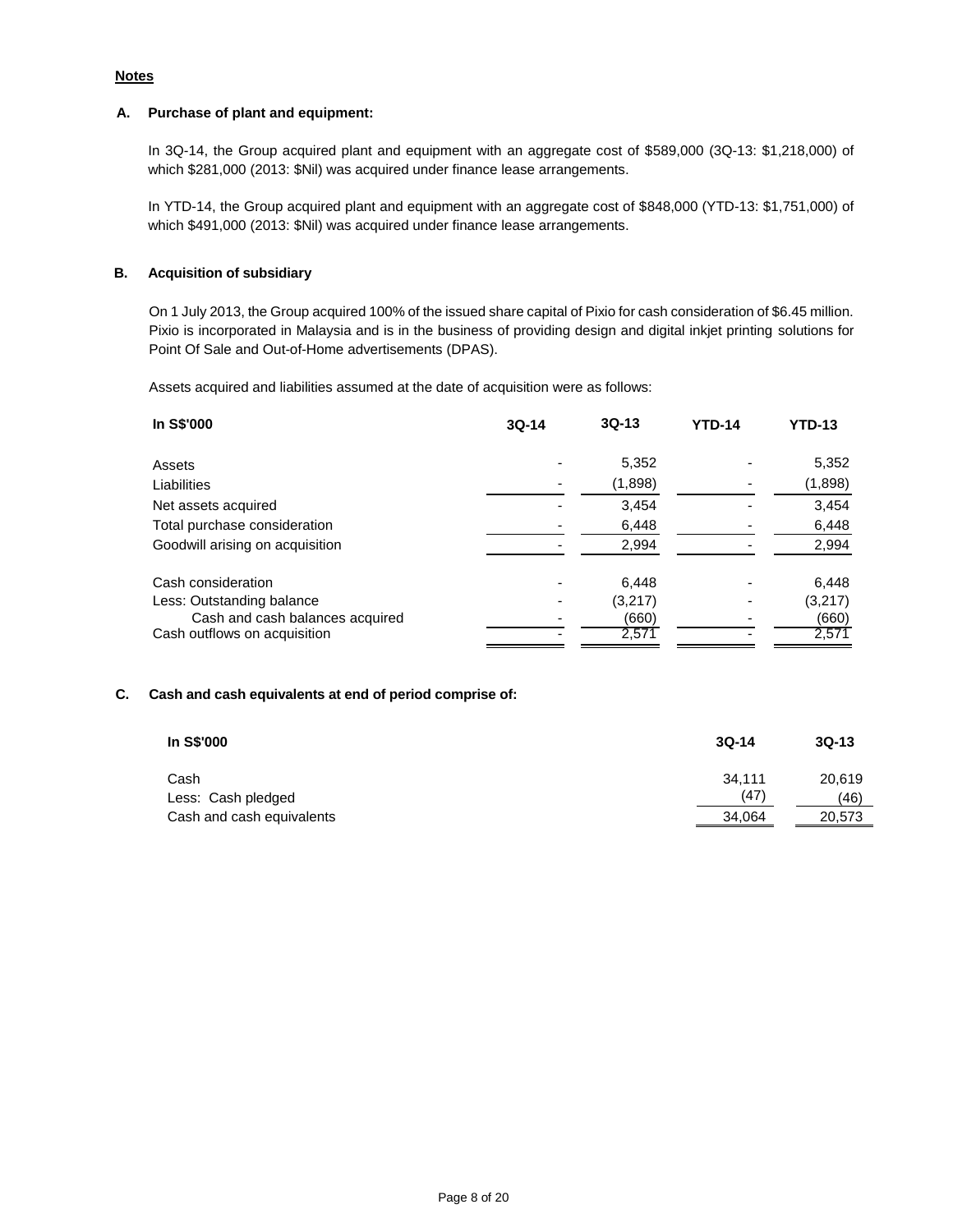# **Notes**

### **A. Purchase of plant and equipment:**

In 3Q-14, the Group acquired plant and equipment with an aggregate cost of \$589,000 (3Q-13: \$1,218,000) of which \$281,000 (2013: \$Nil) was acquired under finance lease arrangements.

In YTD-14, the Group acquired plant and equipment with an aggregate cost of \$848,000 (YTD-13: \$1,751,000) of which \$491,000 (2013: \$Nil) was acquired under finance lease arrangements.

## **B. Acquisition of subsidiary**

On 1 July 2013, the Group acquired 100% of the issued share capital of Pixio for cash consideration of \$6.45 million. Pixio is incorporated in Malaysia and is in the business of providing design and digital inkjet printing solutions for Point Of Sale and Out-of-Home advertisements (DPAS).

Assets acquired and liabilities assumed at the date of acquisition were as follows:

| In S\$'000                      | $3Q-14$ | $3Q-13$ | <b>YTD-14</b> | <b>YTD-13</b> |
|---------------------------------|---------|---------|---------------|---------------|
| Assets                          |         | 5,352   |               | 5,352         |
| Liabilities                     |         | (1,898) |               | (1,898)       |
| Net assets acquired             |         | 3.454   |               | 3,454         |
| Total purchase consideration    |         | 6,448   |               | 6,448         |
| Goodwill arising on acquisition |         | 2,994   |               | 2,994         |
| Cash consideration              |         | 6,448   |               | 6,448         |
| Less: Outstanding balance       |         | (3,217) |               | (3, 217)      |
| Cash and cash balances acquired |         | (660)   |               | (660)         |
| Cash outflows on acquisition    |         | 2,571   |               | 2,571         |

### **C. Cash and cash equivalents at end of period comprise of:**

| In S\$'000                 | $3Q-14$        | $3Q-13$        |
|----------------------------|----------------|----------------|
| Cash<br>Less: Cash pledged | 34.111<br>(47) | 20,619<br>(46) |
| Cash and cash equivalents  | 34,064         | 20,573         |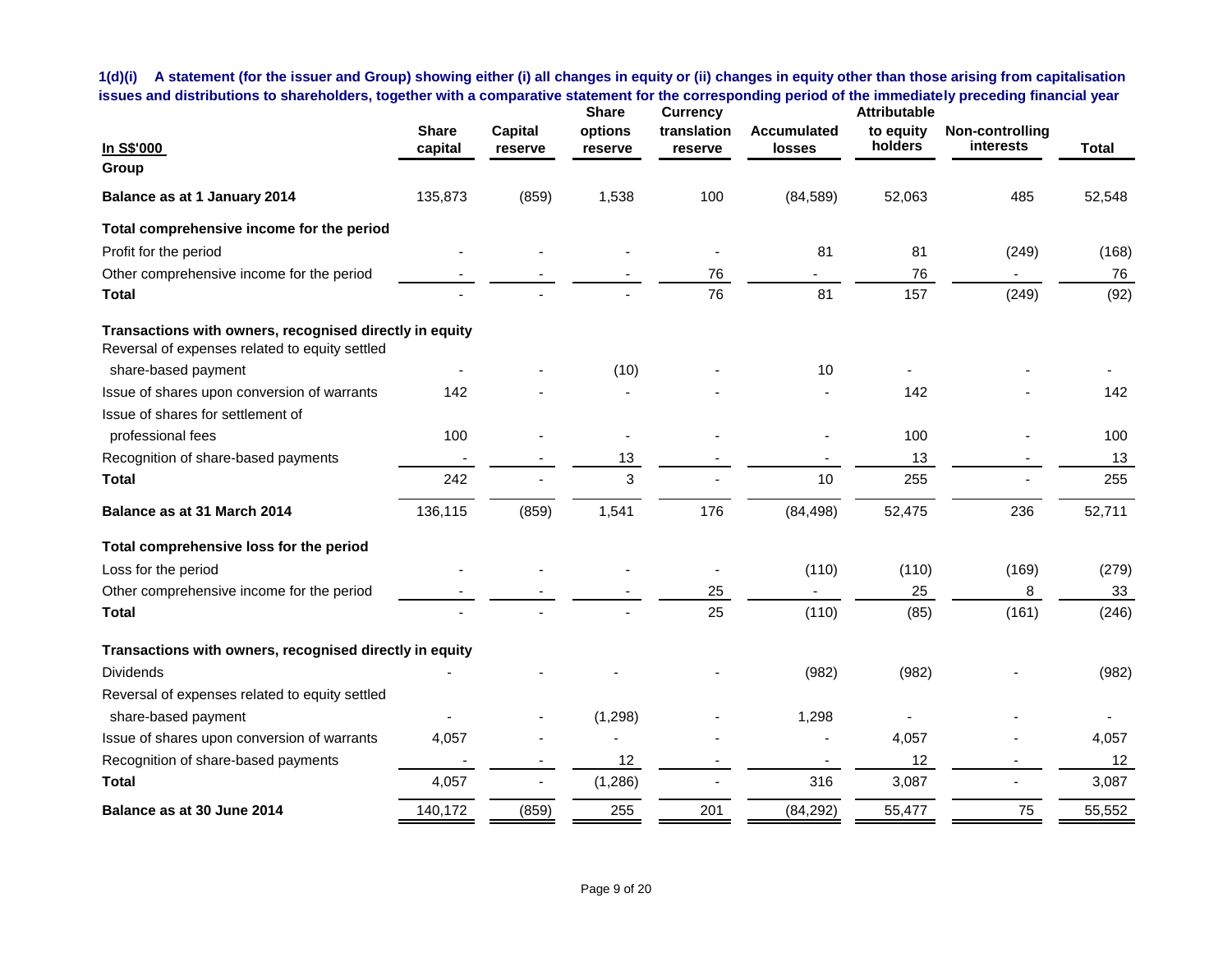**1(d)(i) A statement (for the issuer and Group) showing either (i) all changes in equity or (ii) changes in equity other than those arising from capitalisation issues and distributions to shareholders, together with a comparative statement for the corresponding period of the immediately preceding financial year**

| In S\$'000                                                                                                | <b>Share</b><br>capital | <b>Capital</b><br>reserve | <b>Share</b><br>options<br>reserve | <b>Currency</b><br>translation<br>reserve | <b>Accumulated</b><br><b>losses</b> | <b>Attributable</b><br>to equity<br>holders | Non-controlling<br><b>interests</b> | <b>Total</b> |
|-----------------------------------------------------------------------------------------------------------|-------------------------|---------------------------|------------------------------------|-------------------------------------------|-------------------------------------|---------------------------------------------|-------------------------------------|--------------|
| Group                                                                                                     |                         |                           |                                    |                                           |                                     |                                             |                                     |              |
| Balance as at 1 January 2014                                                                              | 135,873                 | (859)                     | 1,538                              | 100                                       | (84, 589)                           | 52,063                                      | 485                                 | 52,548       |
| Total comprehensive income for the period                                                                 |                         |                           |                                    |                                           |                                     |                                             |                                     |              |
| Profit for the period                                                                                     |                         |                           |                                    |                                           | 81                                  | 81                                          | (249)                               | (168)        |
| Other comprehensive income for the period                                                                 |                         |                           |                                    | 76                                        |                                     | 76                                          |                                     | 76           |
| Total                                                                                                     |                         |                           |                                    | 76                                        | 81                                  | 157                                         | (249)                               | (92)         |
| Transactions with owners, recognised directly in equity<br>Reversal of expenses related to equity settled |                         |                           |                                    |                                           |                                     |                                             |                                     |              |
| share-based payment                                                                                       |                         |                           | (10)                               |                                           | 10                                  |                                             |                                     |              |
| Issue of shares upon conversion of warrants                                                               | 142                     |                           |                                    |                                           |                                     | 142                                         |                                     | 142          |
| Issue of shares for settlement of                                                                         |                         |                           |                                    |                                           |                                     |                                             |                                     |              |
| professional fees                                                                                         | 100                     |                           |                                    |                                           |                                     | 100                                         |                                     | 100          |
| Recognition of share-based payments                                                                       |                         |                           | 13                                 |                                           |                                     | 13                                          |                                     | 13           |
| Total                                                                                                     | 242                     |                           | 3                                  |                                           | 10                                  | 255                                         |                                     | 255          |
| Balance as at 31 March 2014                                                                               | 136,115                 | (859)                     | 1,541                              | 176                                       | (84, 498)                           | 52,475                                      | 236                                 | 52,711       |
| Total comprehensive loss for the period                                                                   |                         |                           |                                    |                                           |                                     |                                             |                                     |              |
| Loss for the period                                                                                       |                         |                           |                                    |                                           | (110)                               | (110)                                       | (169)                               | (279)        |
| Other comprehensive income for the period                                                                 |                         |                           |                                    | 25                                        |                                     | 25                                          | 8                                   | 33           |
| Total                                                                                                     |                         |                           |                                    | 25                                        | (110)                               | (85)                                        | (161)                               | (246)        |
| Transactions with owners, recognised directly in equity                                                   |                         |                           |                                    |                                           |                                     |                                             |                                     |              |
| <b>Dividends</b>                                                                                          |                         |                           |                                    |                                           | (982)                               | (982)                                       |                                     | (982)        |
| Reversal of expenses related to equity settled                                                            |                         |                           |                                    |                                           |                                     |                                             |                                     |              |
| share-based payment                                                                                       |                         |                           | (1, 298)                           |                                           | 1,298                               |                                             |                                     |              |
| Issue of shares upon conversion of warrants                                                               | 4,057                   |                           |                                    |                                           |                                     | 4,057                                       |                                     | 4,057        |
| Recognition of share-based payments                                                                       |                         |                           | 12                                 |                                           |                                     | 12                                          | $\overline{\phantom{a}}$            | 12           |
| Total                                                                                                     | 4,057                   |                           | (1, 286)                           |                                           | 316                                 | 3,087                                       |                                     | 3,087        |
| Balance as at 30 June 2014                                                                                | 140,172                 | (859)                     | 255                                | 201                                       | (84, 292)                           | 55,477                                      | 75                                  | 55,552       |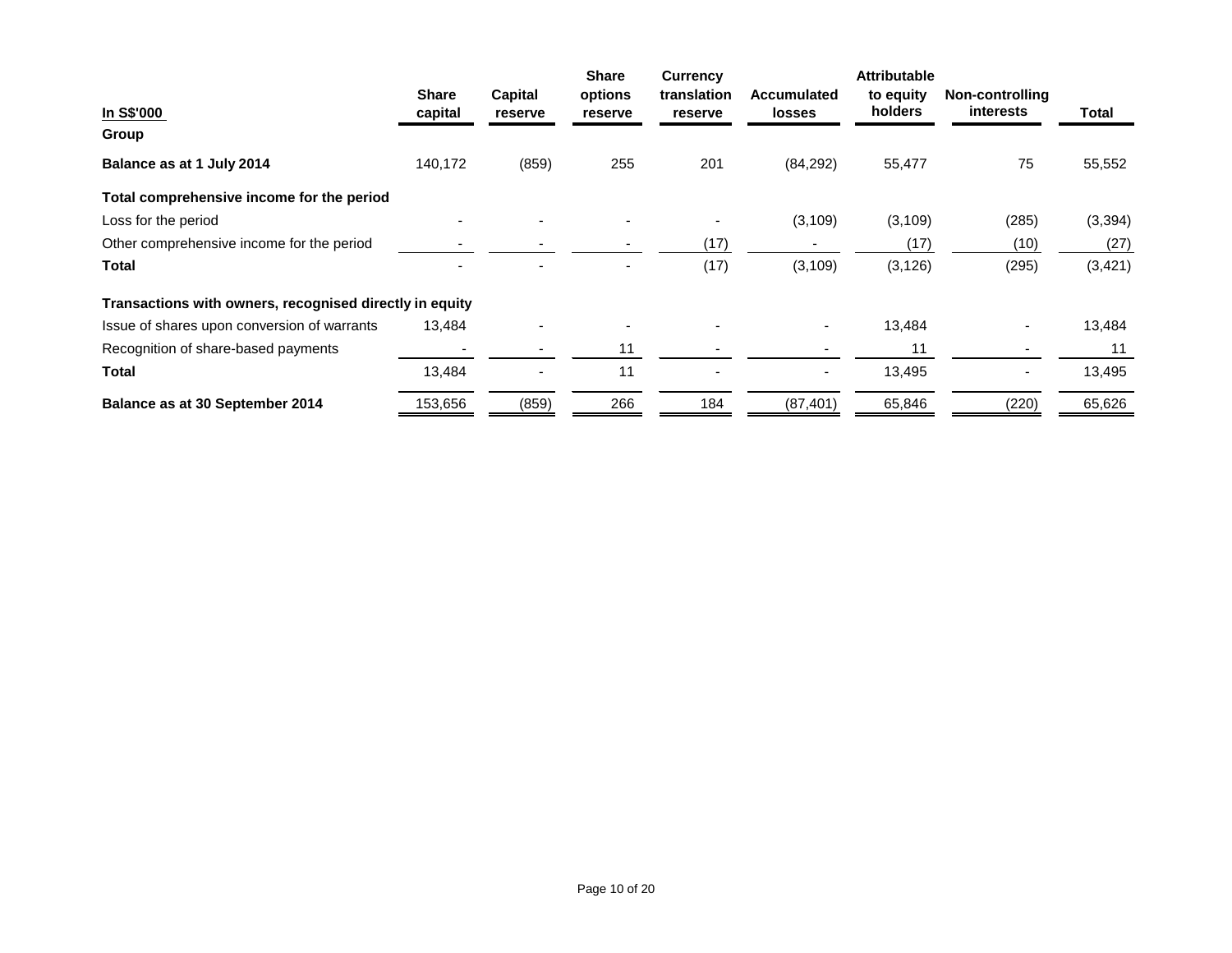|                                                         |                         |                    | <b>Share</b>             | <b>Currency</b>        |                                     | <b>Attributable</b>  |                                     |          |
|---------------------------------------------------------|-------------------------|--------------------|--------------------------|------------------------|-------------------------------------|----------------------|-------------------------------------|----------|
| In S\$'000                                              | <b>Share</b><br>capital | Capital<br>reserve | options<br>reserve       | translation<br>reserve | <b>Accumulated</b><br><b>losses</b> | to equity<br>holders | Non-controlling<br><i>interests</i> | Total    |
| Group                                                   |                         |                    |                          |                        |                                     |                      |                                     |          |
| Balance as at 1 July 2014                               | 140,172                 | (859)              | 255                      | 201                    | (84, 292)                           | 55,477               | 75                                  | 55,552   |
| Total comprehensive income for the period               |                         |                    |                          |                        |                                     |                      |                                     |          |
| Loss for the period                                     |                         |                    |                          |                        | (3, 109)                            | (3, 109)             | (285)                               | (3, 394) |
| Other comprehensive income for the period               |                         |                    |                          | (17)                   |                                     | (17)                 | (10)                                | (27)     |
| Total                                                   |                         |                    | $\overline{\phantom{a}}$ | (17)                   | (3, 109)                            | (3, 126)             | (295)                               | (3, 421) |
| Transactions with owners, recognised directly in equity |                         |                    |                          |                        |                                     |                      |                                     |          |
| Issue of shares upon conversion of warrants             | 13,484                  |                    |                          |                        | ٠                                   | 13,484               |                                     | 13,484   |
| Recognition of share-based payments                     |                         |                    | 11                       |                        |                                     | 11                   |                                     | 11       |
| Total                                                   | 13,484                  |                    | 11                       |                        | $\qquad \qquad \blacksquare$        | 13,495               |                                     | 13,495   |
| Balance as at 30 September 2014                         | 153,656                 | (859)              | 266                      | 184                    | (87, 401)                           | 65,846               | (220)                               | 65,626   |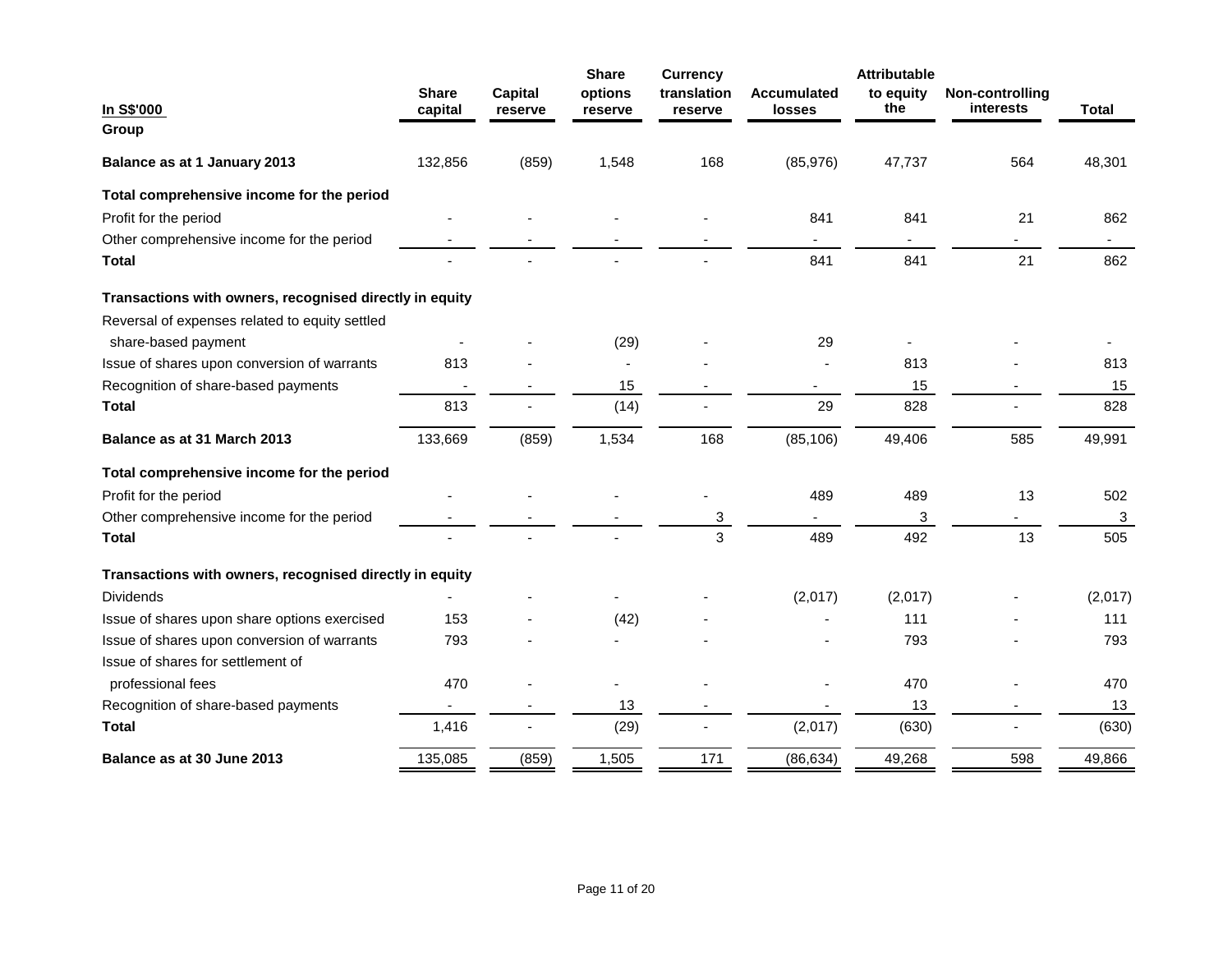| In S\$'000                                              | <b>Share</b><br>capital  | <b>Capital</b><br>reserve | <b>Share</b><br>options<br>reserve | <b>Currency</b><br>translation<br>reserve | <b>Accumulated</b><br>losses | <b>Attributable</b><br>to equity<br>the | Non-controlling<br>interests | <b>Total</b> |
|---------------------------------------------------------|--------------------------|---------------------------|------------------------------------|-------------------------------------------|------------------------------|-----------------------------------------|------------------------------|--------------|
| Group                                                   |                          |                           |                                    |                                           |                              |                                         |                              |              |
| Balance as at 1 January 2013                            | 132,856                  | (859)                     | 1,548                              | 168                                       | (85,976)                     | 47,737                                  | 564                          | 48,301       |
| Total comprehensive income for the period               |                          |                           |                                    |                                           |                              |                                         |                              |              |
| Profit for the period                                   |                          |                           |                                    |                                           | 841                          | 841                                     | 21                           | 862          |
| Other comprehensive income for the period               |                          |                           |                                    |                                           | $\sim$                       |                                         | $\overline{\phantom{0}}$     | $\sim$       |
| <b>Total</b>                                            |                          |                           |                                    |                                           | 841                          | 841                                     | 21                           | 862          |
| Transactions with owners, recognised directly in equity |                          |                           |                                    |                                           |                              |                                         |                              |              |
| Reversal of expenses related to equity settled          |                          |                           |                                    |                                           |                              |                                         |                              |              |
| share-based payment                                     |                          |                           | (29)                               |                                           | 29                           |                                         |                              |              |
| Issue of shares upon conversion of warrants             | 813                      |                           |                                    |                                           |                              | 813                                     |                              | 813          |
| Recognition of share-based payments                     | $\overline{\phantom{a}}$ |                           | 15                                 |                                           | $\blacksquare$               | 15                                      | $\blacksquare$               | 15           |
| <b>Total</b>                                            | 813                      |                           | (14)                               |                                           | 29                           | 828                                     |                              | 828          |
| Balance as at 31 March 2013                             | 133,669                  | (859)                     | 1,534                              | 168                                       | (85, 106)                    | 49,406                                  | 585                          | 49,991       |
| Total comprehensive income for the period               |                          |                           |                                    |                                           |                              |                                         |                              |              |
| Profit for the period                                   |                          |                           |                                    |                                           | 489                          | 489                                     | 13                           | 502          |
| Other comprehensive income for the period               |                          |                           |                                    | 3                                         | $\overline{\phantom{a}}$     | 3                                       |                              | 3            |
| <b>Total</b>                                            |                          |                           |                                    | 3                                         | 489                          | 492                                     | 13                           | 505          |
| Transactions with owners, recognised directly in equity |                          |                           |                                    |                                           |                              |                                         |                              |              |
| <b>Dividends</b>                                        |                          |                           |                                    |                                           | (2,017)                      | (2,017)                                 |                              | (2,017)      |
| Issue of shares upon share options exercised            | 153                      |                           | (42)                               |                                           |                              | 111                                     |                              | 111          |
| Issue of shares upon conversion of warrants             | 793                      |                           |                                    |                                           |                              | 793                                     |                              | 793          |
| Issue of shares for settlement of                       |                          |                           |                                    |                                           |                              |                                         |                              |              |
| professional fees                                       | 470                      |                           |                                    |                                           |                              | 470                                     |                              | 470          |
| Recognition of share-based payments                     |                          |                           | 13                                 |                                           |                              | 13                                      |                              | 13           |
| <b>Total</b>                                            | 1,416                    |                           | (29)                               |                                           | (2,017)                      | (630)                                   |                              | (630)        |
| Balance as at 30 June 2013                              | 135,085                  | (859)                     | 1,505                              | 171                                       | (86, 634)                    | 49,268                                  | 598                          | 49,866       |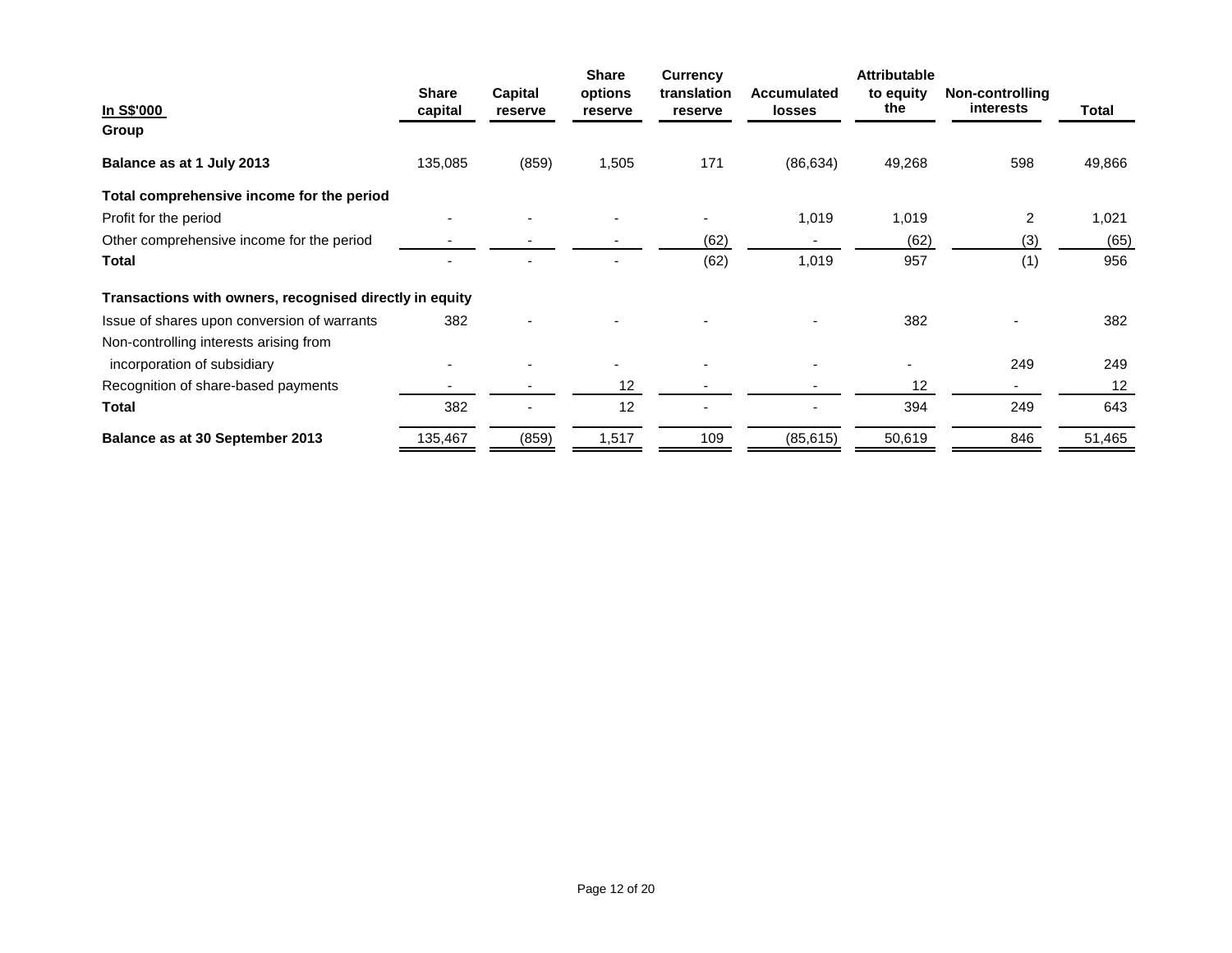| In S\$'000                                              | <b>Share</b><br>capital | <b>Capital</b><br>reserve | <b>Share</b><br>options<br>reserve | <b>Currency</b><br>translation<br>reserve | <b>Accumulated</b><br><b>losses</b> | <b>Attributable</b><br>to equity<br>the | Non-controlling<br><b>interests</b> | Total  |
|---------------------------------------------------------|-------------------------|---------------------------|------------------------------------|-------------------------------------------|-------------------------------------|-----------------------------------------|-------------------------------------|--------|
| Group                                                   |                         |                           |                                    |                                           |                                     |                                         |                                     |        |
| Balance as at 1 July 2013                               | 135,085                 | (859)                     | 1,505                              | 171                                       | (86, 634)                           | 49,268                                  | 598                                 | 49,866 |
| Total comprehensive income for the period               |                         |                           |                                    |                                           |                                     |                                         |                                     |        |
| Profit for the period                                   |                         |                           |                                    |                                           | 1,019                               | 1,019                                   | 2                                   | 1,021  |
| Other comprehensive income for the period               |                         |                           |                                    | (62)                                      |                                     | (62)                                    | (3)                                 | (65)   |
| <b>Total</b>                                            |                         |                           |                                    | (62)                                      | 1,019                               | 957                                     | (1)                                 | 956    |
| Transactions with owners, recognised directly in equity |                         |                           |                                    |                                           |                                     |                                         |                                     |        |
| Issue of shares upon conversion of warrants             | 382                     |                           |                                    |                                           |                                     | 382                                     |                                     | 382    |
| Non-controlling interests arising from                  |                         |                           |                                    |                                           |                                     |                                         |                                     |        |
| incorporation of subsidiary                             |                         |                           |                                    |                                           |                                     |                                         | 249                                 | 249    |
| Recognition of share-based payments                     |                         |                           | 12                                 |                                           |                                     | 12                                      |                                     | 12     |
| Total                                                   | 382                     |                           | 12                                 |                                           |                                     | 394                                     | 249                                 | 643    |
| Balance as at 30 September 2013                         | 135,467                 | (859)                     | 1,517                              | 109                                       | (85, 615)                           | 50,619                                  | 846                                 | 51,465 |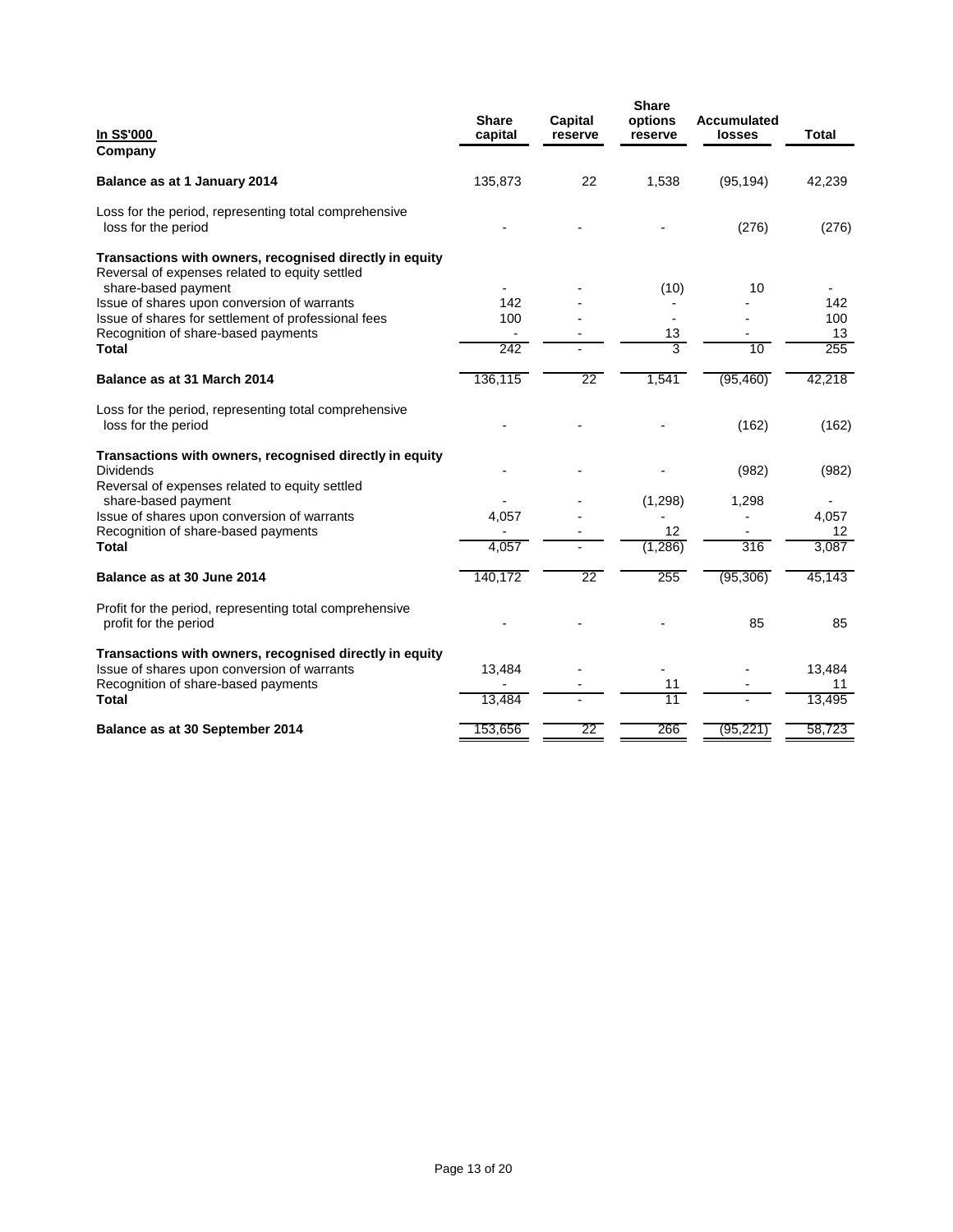| In S\$'000<br>Company                                                                                                                                                                                                                                                                         | <b>Share</b><br>capital | Capital<br>reserve | <b>Share</b><br>options<br>reserve | <b>Accumulated</b><br>losses | <b>Total</b>                  |
|-----------------------------------------------------------------------------------------------------------------------------------------------------------------------------------------------------------------------------------------------------------------------------------------------|-------------------------|--------------------|------------------------------------|------------------------------|-------------------------------|
| Balance as at 1 January 2014                                                                                                                                                                                                                                                                  | 135,873                 | 22                 | 1,538                              | (95, 194)                    | 42,239                        |
| Loss for the period, representing total comprehensive<br>loss for the period                                                                                                                                                                                                                  |                         |                    |                                    | (276)                        | (276)                         |
| Transactions with owners, recognised directly in equity<br>Reversal of expenses related to equity settled<br>share-based payment<br>Issue of shares upon conversion of warrants<br>Issue of shares for settlement of professional fees<br>Recognition of share-based payments<br><b>Total</b> | 142<br>100<br>242       |                    | (10)<br>13<br>$\overline{3}$       | 10<br>10                     | 142<br>100<br>13<br>255       |
| Balance as at 31 March 2014                                                                                                                                                                                                                                                                   | 136,115                 | $\overline{22}$    | 1,541                              | (95, 460)                    | 42,218                        |
| Loss for the period, representing total comprehensive<br>loss for the period                                                                                                                                                                                                                  |                         |                    |                                    | (162)                        | (162)                         |
| Transactions with owners, recognised directly in equity<br><b>Dividends</b><br>Reversal of expenses related to equity settled<br>share-based payment<br>Issue of shares upon conversion of warrants<br>Recognition of share-based payments<br>Total                                           | 4,057<br>4,057          |                    | (1, 298)<br>12<br>(1,286)          | (982)<br>1,298<br>316        | (982)<br>4,057<br>12<br>3,087 |
| Balance as at 30 June 2014                                                                                                                                                                                                                                                                    | 140,172                 | 22                 | 255                                | (95, 306)                    | 45,143                        |
| Profit for the period, representing total comprehensive<br>profit for the period                                                                                                                                                                                                              |                         |                    |                                    | 85                           | 85                            |
| Transactions with owners, recognised directly in equity<br>Issue of shares upon conversion of warrants<br>Recognition of share-based payments<br>Total                                                                                                                                        | 13,484<br>13,484        |                    | 11<br>11                           |                              | 13,484<br>11<br>13,495        |
| Balance as at 30 September 2014                                                                                                                                                                                                                                                               | 153,656                 | $\overline{22}$    | 266                                | (95, 221)                    | 58,723                        |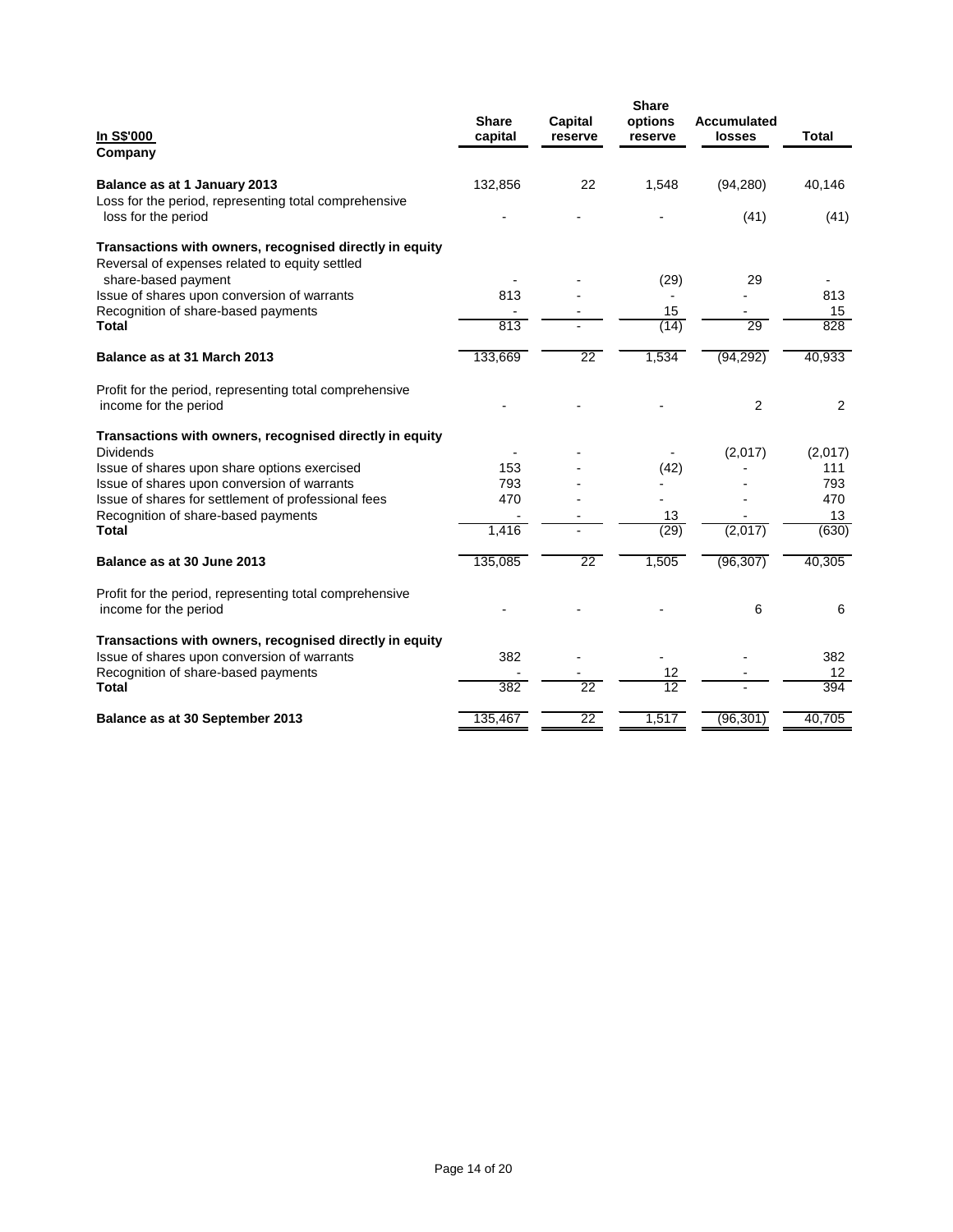| In S\$'000<br>Company                                                                                                            | <b>Share</b><br>capital | Capital<br>reserve | <b>Share</b><br>options<br>reserve | <b>Accumulated</b><br>losses | <b>Total</b>  |
|----------------------------------------------------------------------------------------------------------------------------------|-------------------------|--------------------|------------------------------------|------------------------------|---------------|
| Balance as at 1 January 2013<br>Loss for the period, representing total comprehensive                                            | 132,856                 | 22                 | 1,548                              | (94, 280)                    | 40,146        |
| loss for the period<br>Transactions with owners, recognised directly in equity<br>Reversal of expenses related to equity settled |                         |                    |                                    | (41)                         | (41)          |
| share-based payment<br>Issue of shares upon conversion of warrants<br>Recognition of share-based payments                        | 813                     |                    | (29)<br>15                         | 29                           | 813<br>15     |
| <b>Total</b><br>Balance as at 31 March 2013                                                                                      | 813<br>133,669          | $\overline{22}$    | (14)<br>1,534                      | 29<br>(94, 292)              | 828<br>40,933 |
| Profit for the period, representing total comprehensive                                                                          |                         |                    |                                    |                              |               |
| income for the period                                                                                                            |                         |                    |                                    | $\overline{2}$               | 2             |
| Transactions with owners, recognised directly in equity<br><b>Dividends</b>                                                      |                         |                    |                                    | (2,017)                      | (2,017)       |
| Issue of shares upon share options exercised<br>Issue of shares upon conversion of warrants                                      | 153<br>793              |                    | (42)                               |                              | 111<br>793    |
| Issue of shares for settlement of professional fees<br>Recognition of share-based payments                                       | 470                     |                    | 13                                 |                              | 470<br>13     |
| <b>Total</b>                                                                                                                     | 1,416                   |                    | (29)                               | (2,017)                      | (630)         |
| Balance as at 30 June 2013                                                                                                       | 135,085                 | $\overline{22}$    | 1,505                              | (96, 307)                    | 40,305        |
| Profit for the period, representing total comprehensive<br>income for the period                                                 |                         |                    |                                    | 6                            | 6             |
| Transactions with owners, recognised directly in equity<br>Issue of shares upon conversion of warrants                           | 382                     |                    |                                    |                              | 382           |
| Recognition of share-based payments<br>Total                                                                                     | 382                     | 22                 | 12<br>$\overline{12}$              |                              | 12<br>394     |
| Balance as at 30 September 2013                                                                                                  | 135,467                 | 22                 | 1,517                              | (96, 301)                    | 40,705        |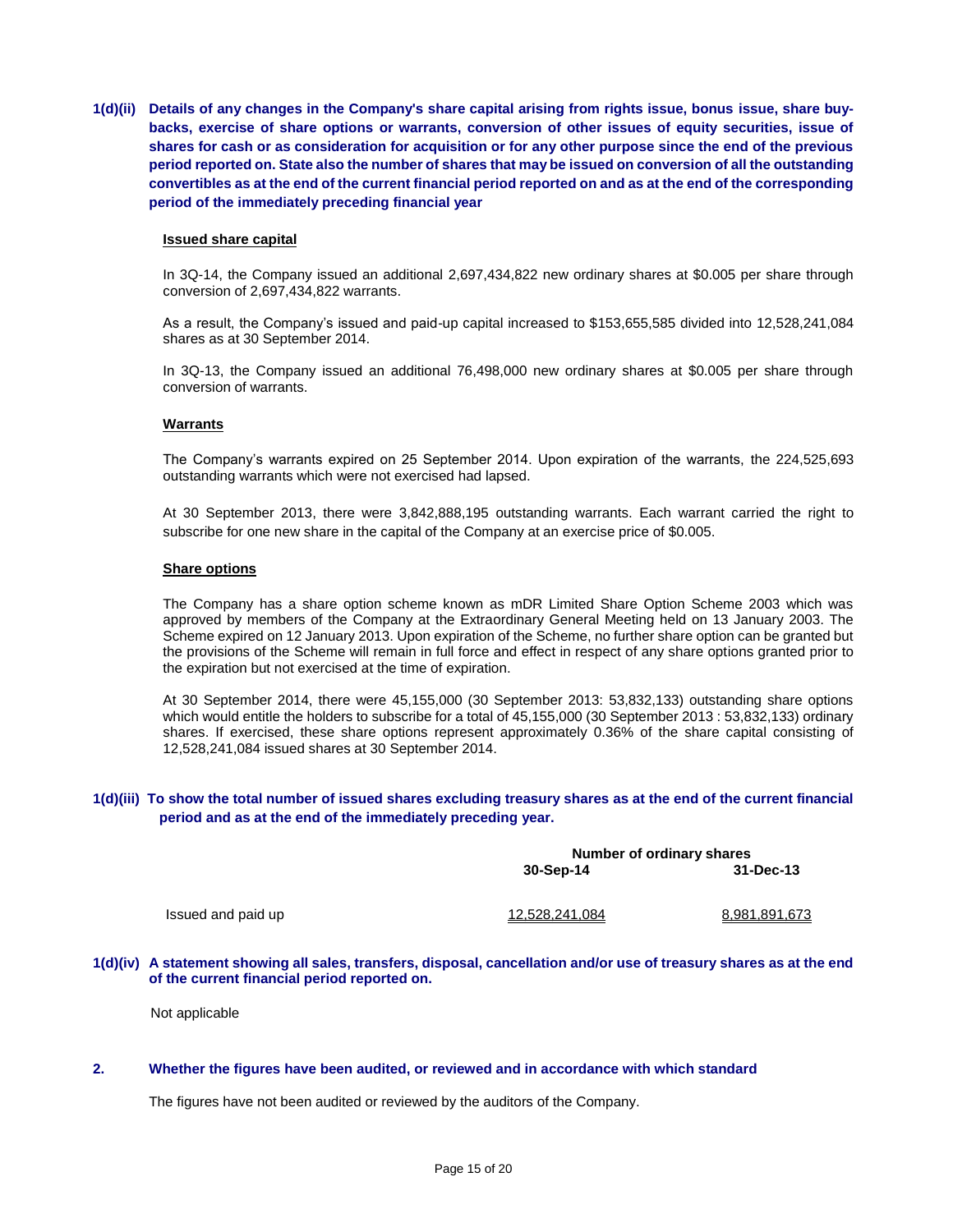**1(d)(ii) Details of any changes in the Company's share capital arising from rights issue, bonus issue, share buybacks, exercise of share options or warrants, conversion of other issues of equity securities, issue of shares for cash or as consideration for acquisition or for any other purpose since the end of the previous period reported on. State also the number of shares that may be issued on conversion of all the outstanding convertibles as at the end of the current financial period reported on and as at the end of the corresponding period of the immediately preceding financial year**

#### **Issued share capital**

In 3Q-14, the Company issued an additional 2,697,434,822 new ordinary shares at \$0.005 per share through conversion of 2,697,434,822 warrants.

As a result, the Company's issued and paid-up capital increased to \$153,655,585 divided into 12,528,241,084 shares as at 30 September 2014.

In 3Q-13, the Company issued an additional 76,498,000 new ordinary shares at \$0.005 per share through conversion of warrants.

### **Warrants**

The Company's warrants expired on 25 September 2014. Upon expiration of the warrants, the 224,525,693 outstanding warrants which were not exercised had lapsed.

At 30 September 2013, there were 3,842,888,195 outstanding warrants. Each warrant carried the right to subscribe for one new share in the capital of the Company at an exercise price of \$0.005.

#### **Share options**

The Company has a share option scheme known as mDR Limited Share Option Scheme 2003 which was approved by members of the Company at the Extraordinary General Meeting held on 13 January 2003. The Scheme expired on 12 January 2013. Upon expiration of the Scheme, no further share option can be granted but the provisions of the Scheme will remain in full force and effect in respect of any share options granted prior to the expiration but not exercised at the time of expiration.

At 30 September 2014, there were 45,155,000 (30 September 2013: 53,832,133) outstanding share options which would entitle the holders to subscribe for a total of 45,155,000 (30 September 2013 : 53,832,133) ordinary shares. If exercised, these share options represent approximately 0.36% of the share capital consisting of 12,528,241,084 issued shares at 30 September 2014.

### **1(d)(iii) To show the total number of issued shares excluding treasury shares as at the end of the current financial period and as at the end of the immediately preceding year.**

|                    | Number of ordinary shares |               |
|--------------------|---------------------------|---------------|
|                    | 30-Sep-14                 | 31-Dec-13     |
| Issued and paid up | <u>12.528.241.084</u>     | 8.981.891.673 |

#### **1(d)(iv) A statement showing all sales, transfers, disposal, cancellation and/or use of treasury shares as at the end of the current financial period reported on.**

Not applicable

### **2. Whether the figures have been audited, or reviewed and in accordance with which standard**

The figures have not been audited or reviewed by the auditors of the Company.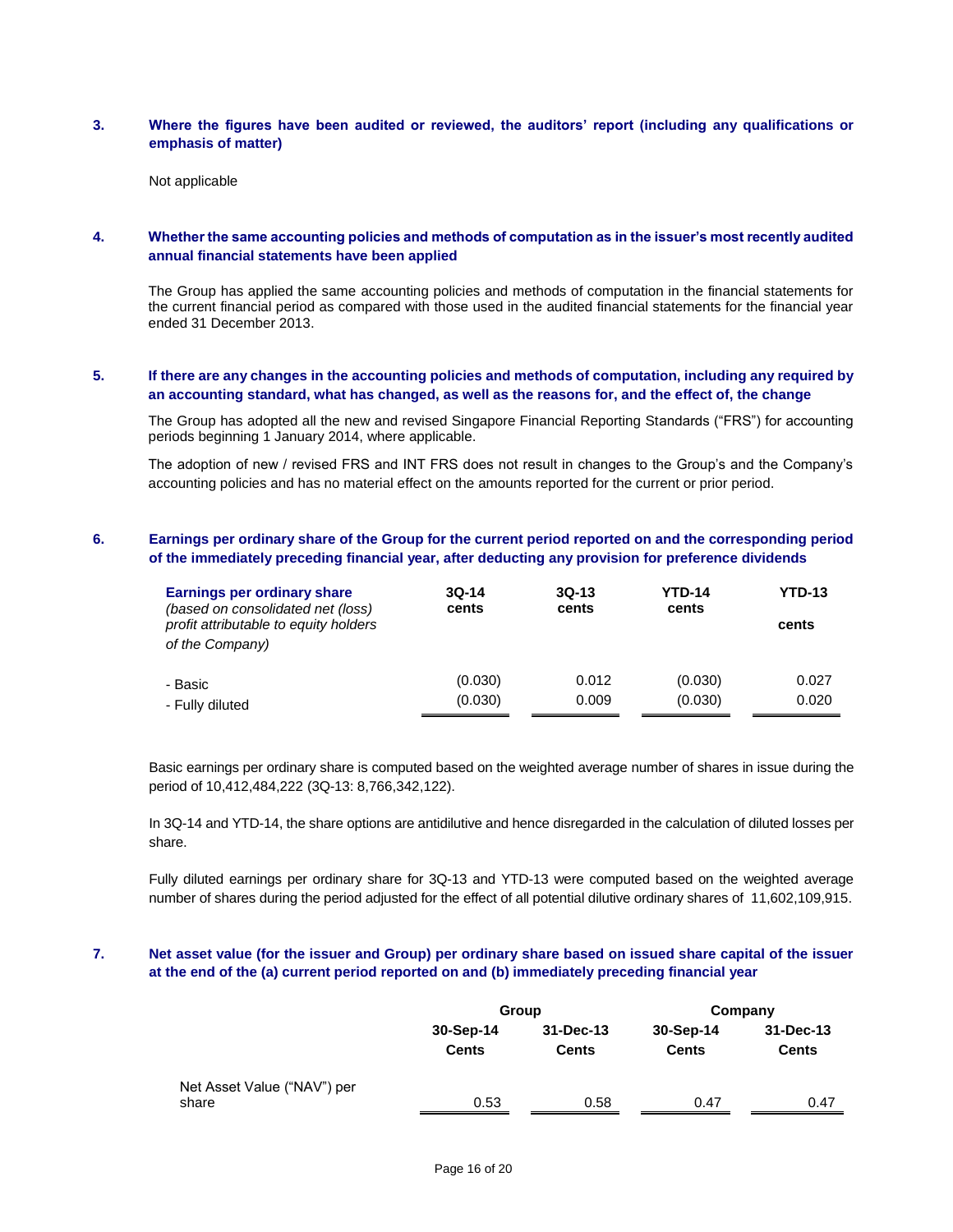### **3. Where the figures have been audited or reviewed, the auditors' report (including any qualifications or emphasis of matter)**

Not applicable

# **4. Whether the same accounting policies and methods of computation as in the issuer's most recently audited annual financial statements have been applied**

The Group has applied the same accounting policies and methods of computation in the financial statements for the current financial period as compared with those used in the audited financial statements for the financial year ended 31 December 2013.

# **5. If there are any changes in the accounting policies and methods of computation, including any required by an accounting standard, what has changed, as well as the reasons for, and the effect of, the change**

The Group has adopted all the new and revised Singapore Financial Reporting Standards ("FRS") for accounting periods beginning 1 January 2014, where applicable.

The adoption of new / revised FRS and INT FRS does not result in changes to the Group's and the Company's accounting policies and has no material effect on the amounts reported for the current or prior period.

# **6. Earnings per ordinary share of the Group for the current period reported on and the corresponding period of the immediately preceding financial year, after deducting any provision for preference dividends**

| <b>Earnings per ordinary share</b><br>(based on consolidated net (loss)<br>profit attributable to equity holders<br>of the Company) | $3Q-14$<br>cents | $3Q-13$<br>cents | <b>YTD-14</b><br>cents | <b>YTD-13</b><br>cents |
|-------------------------------------------------------------------------------------------------------------------------------------|------------------|------------------|------------------------|------------------------|
| - Basic                                                                                                                             | (0.030)          | 0.012            | (0.030)                | 0.027                  |
| - Fully diluted                                                                                                                     | (0.030)          | 0.009            | (0.030)                | 0.020                  |

Basic earnings per ordinary share is computed based on the weighted average number of shares in issue during the period of 10,412,484,222 (3Q-13: 8,766,342,122).

In 3Q-14 and YTD-14, the share options are antidilutive and hence disregarded in the calculation of diluted losses per share.

Fully diluted earnings per ordinary share for 3Q-13 and YTD-13 were computed based on the weighted average number of shares during the period adjusted for the effect of all potential dilutive ordinary shares of 11,602,109,915.

# **7. Net asset value (for the issuer and Group) per ordinary share based on issued share capital of the issuer at the end of the (a) current period reported on and (b) immediately preceding financial year**

|                             |              | Group         | Company      |              |  |
|-----------------------------|--------------|---------------|--------------|--------------|--|
|                             | 30-Sep-14    | $31 - Dec-13$ | 30-Sep-14    | 31-Dec-13    |  |
|                             | <b>Cents</b> | <b>Cents</b>  | <b>Cents</b> | <b>Cents</b> |  |
| Net Asset Value ("NAV") per |              |               |              |              |  |
| share                       | 0.53         | 0.58          | 0.47         | 0.47         |  |
|                             |              |               |              |              |  |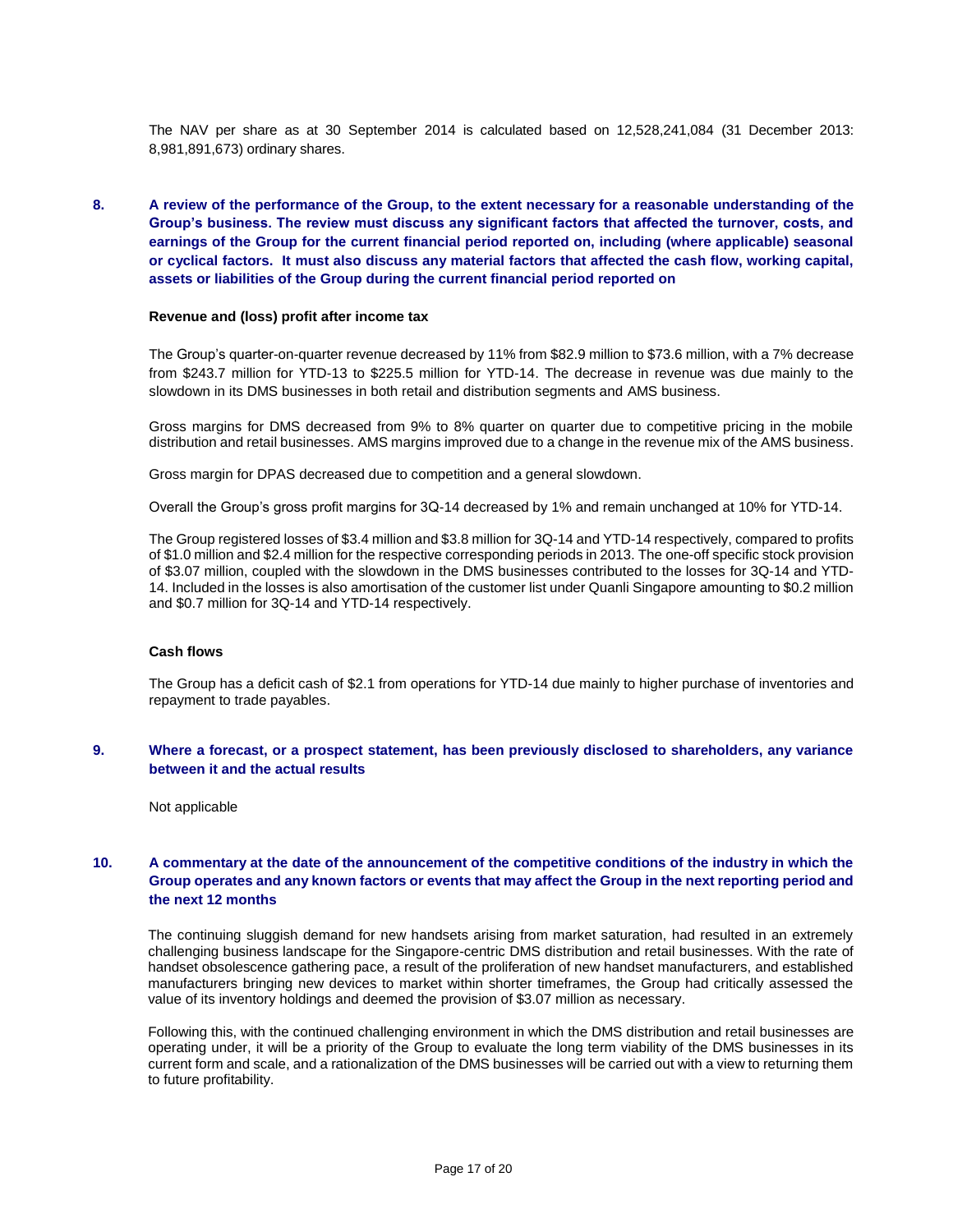The NAV per share as at 30 September 2014 is calculated based on 12,528,241,084 (31 December 2013: 8,981,891,673) ordinary shares.

# **8. A review of the performance of the Group, to the extent necessary for a reasonable understanding of the Group's business. The review must discuss any significant factors that affected the turnover, costs, and earnings of the Group for the current financial period reported on, including (where applicable) seasonal or cyclical factors. It must also discuss any material factors that affected the cash flow, working capital, assets or liabilities of the Group during the current financial period reported on**

#### **Revenue and (loss) profit after income tax**

The Group's quarter-on-quarter revenue decreased by 11% from \$82.9 million to \$73.6 million, with a 7% decrease from \$243.7 million for YTD-13 to \$225.5 million for YTD-14. The decrease in revenue was due mainly to the slowdown in its DMS businesses in both retail and distribution segments and AMS business.

Gross margins for DMS decreased from 9% to 8% quarter on quarter due to competitive pricing in the mobile distribution and retail businesses. AMS margins improved due to a change in the revenue mix of the AMS business.

Gross margin for DPAS decreased due to competition and a general slowdown.

Overall the Group's gross profit margins for 3Q-14 decreased by 1% and remain unchanged at 10% for YTD-14.

The Group registered losses of \$3.4 million and \$3.8 million for 3Q-14 and YTD-14 respectively, compared to profits of \$1.0 million and \$2.4 million for the respective corresponding periods in 2013. The one-off specific stock provision of \$3.07 million, coupled with the slowdown in the DMS businesses contributed to the losses for 3Q-14 and YTD-14. Included in the losses is also amortisation of the customer list under Quanli Singapore amounting to \$0.2 million and \$0.7 million for 3Q-14 and YTD-14 respectively.

#### **Cash flows**

The Group has a deficit cash of \$2.1 from operations for YTD-14 due mainly to higher purchase of inventories and repayment to trade payables.

### **9. Where a forecast, or a prospect statement, has been previously disclosed to shareholders, any variance between it and the actual results**

Not applicable

# **10. A commentary at the date of the announcement of the competitive conditions of the industry in which the Group operates and any known factors or events that may affect the Group in the next reporting period and the next 12 months**

The continuing sluggish demand for new handsets arising from market saturation, had resulted in an extremely challenging business landscape for the Singapore-centric DMS distribution and retail businesses. With the rate of handset obsolescence gathering pace, a result of the proliferation of new handset manufacturers, and established manufacturers bringing new devices to market within shorter timeframes, the Group had critically assessed the value of its inventory holdings and deemed the provision of \$3.07 million as necessary.

Following this, with the continued challenging environment in which the DMS distribution and retail businesses are operating under, it will be a priority of the Group to evaluate the long term viability of the DMS businesses in its current form and scale, and a rationalization of the DMS businesses will be carried out with a view to returning them to future profitability.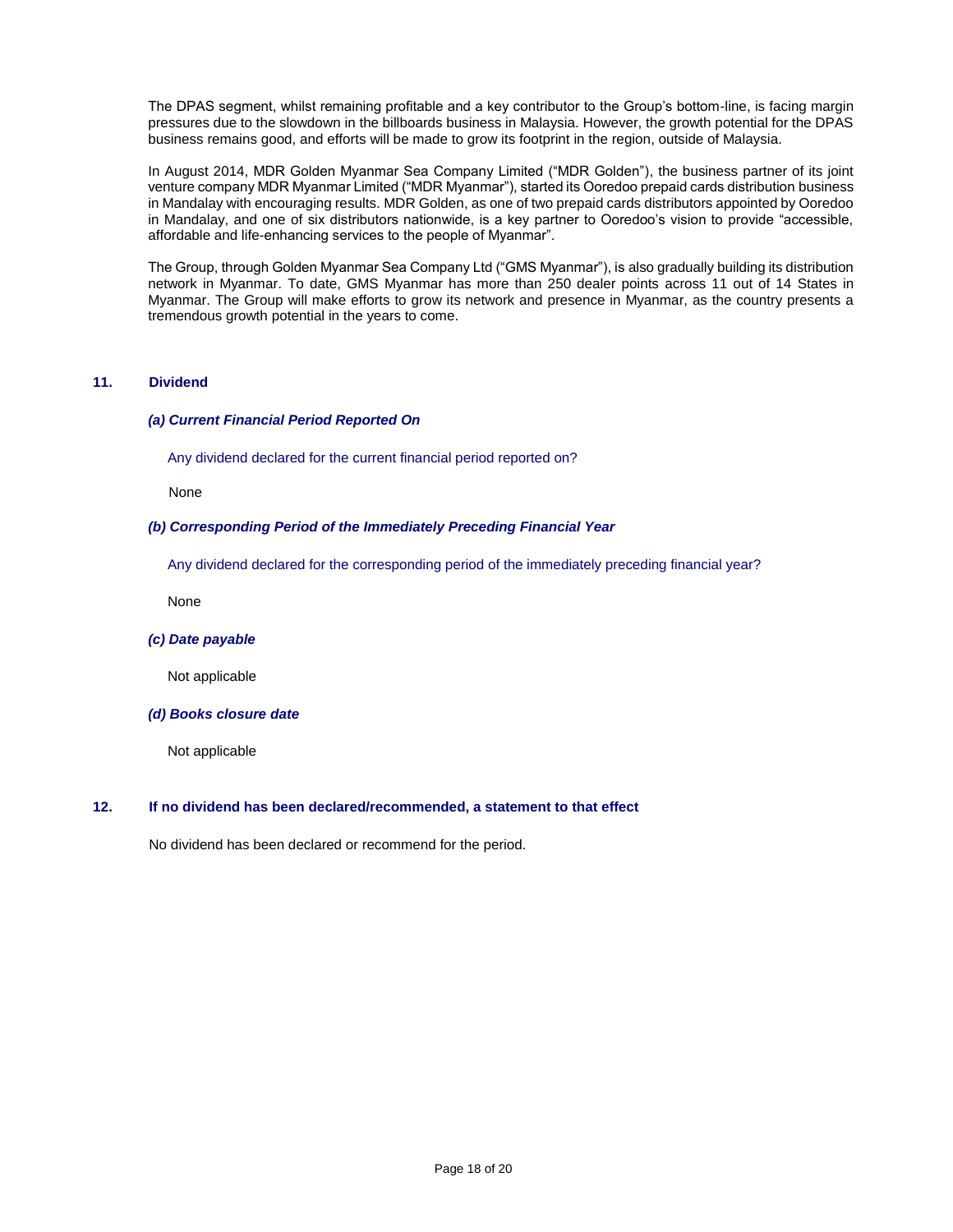The DPAS segment, whilst remaining profitable and a key contributor to the Group's bottom-line, is facing margin pressures due to the slowdown in the billboards business in Malaysia. However, the growth potential for the DPAS business remains good, and efforts will be made to grow its footprint in the region, outside of Malaysia.

In August 2014, MDR Golden Myanmar Sea Company Limited ("MDR Golden"), the business partner of its joint venture company MDR Myanmar Limited ("MDR Myanmar"), started its Ooredoo prepaid cards distribution business in Mandalay with encouraging results. MDR Golden, as one of two prepaid cards distributors appointed by Ooredoo in Mandalay, and one of six distributors nationwide, is a key partner to Ooredoo's vision to provide "accessible, affordable and life-enhancing services to the people of Myanmar".

The Group, through Golden Myanmar Sea Company Ltd ("GMS Myanmar"), is also gradually building its distribution network in Myanmar. To date, GMS Myanmar has more than 250 dealer points across 11 out of 14 States in Myanmar. The Group will make efforts to grow its network and presence in Myanmar, as the country presents a tremendous growth potential in the years to come.

## **11. Dividend**

### *(a) Current Financial Period Reported On*

Any dividend declared for the current financial period reported on?

None

### *(b) Corresponding Period of the Immediately Preceding Financial Year*

Any dividend declared for the corresponding period of the immediately preceding financial year?

None

### *(c) Date payable*

Not applicable

#### *(d) Books closure date*

Not applicable

### **12. If no dividend has been declared/recommended, a statement to that effect**

No dividend has been declared or recommend for the period.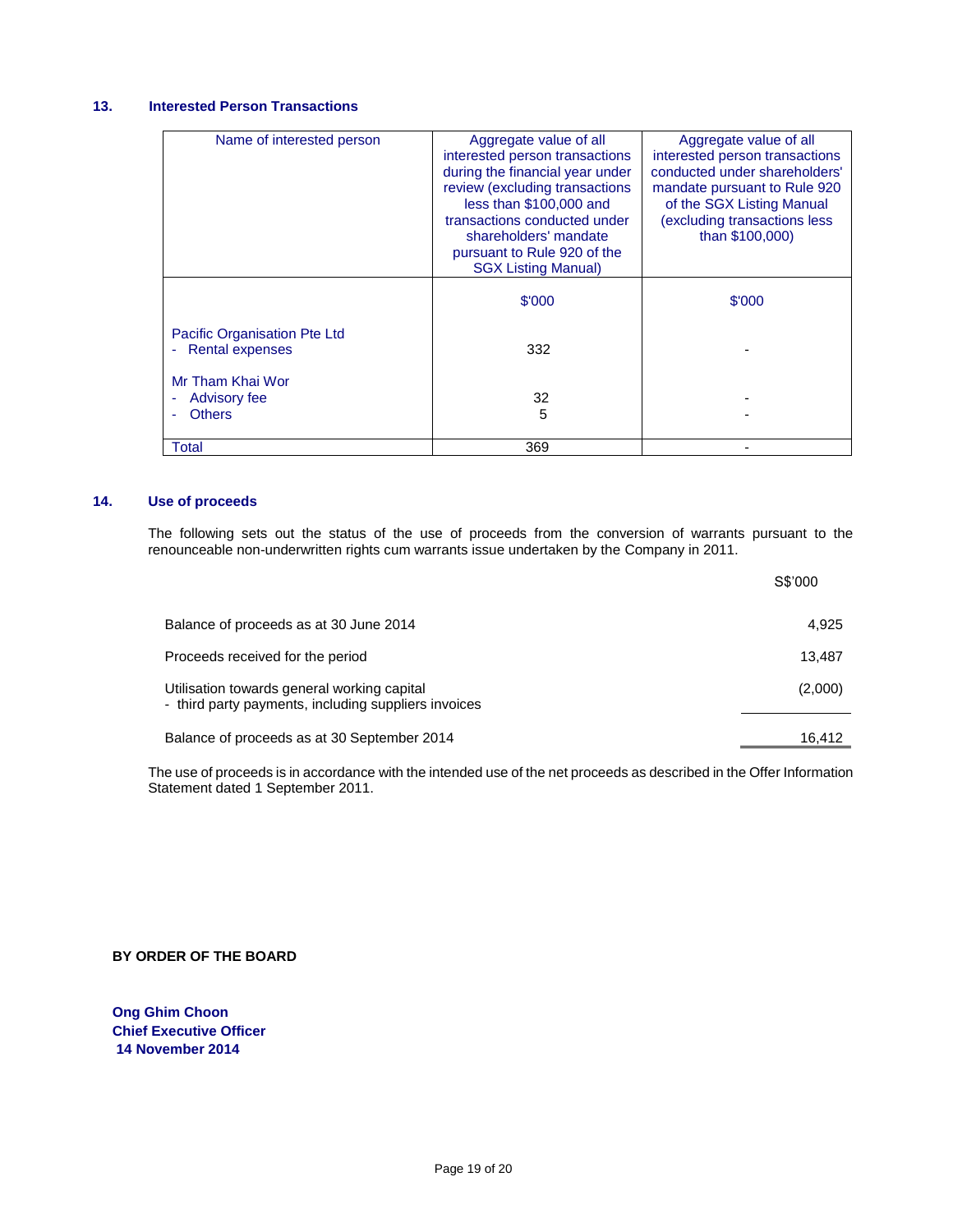# **13. Interested Person Transactions**

| Name of interested person                                     | Aggregate value of all<br>interested person transactions<br>during the financial year under<br>review (excluding transactions<br>less than \$100,000 and<br>transactions conducted under<br>shareholders' mandate<br>pursuant to Rule 920 of the<br><b>SGX Listing Manual)</b> | Aggregate value of all<br>interested person transactions<br>conducted under shareholders'<br>mandate pursuant to Rule 920<br>of the SGX Listing Manual<br>(excluding transactions less)<br>than \$100,000) |
|---------------------------------------------------------------|--------------------------------------------------------------------------------------------------------------------------------------------------------------------------------------------------------------------------------------------------------------------------------|------------------------------------------------------------------------------------------------------------------------------------------------------------------------------------------------------------|
|                                                               | \$'000                                                                                                                                                                                                                                                                         | \$'000                                                                                                                                                                                                     |
| <b>Pacific Organisation Pte Ltd</b><br><b>Rental expenses</b> | 332                                                                                                                                                                                                                                                                            |                                                                                                                                                                                                            |
| Mr Tham Khai Wor<br><b>Advisory fee</b><br><b>Others</b>      | 32<br>5                                                                                                                                                                                                                                                                        |                                                                                                                                                                                                            |
| Total                                                         | 369                                                                                                                                                                                                                                                                            |                                                                                                                                                                                                            |

## **14. Use of proceeds**

The following sets out the status of the use of proceeds from the conversion of warrants pursuant to the renounceable non-underwritten rights cum warrants issue undertaken by the Company in 2011.

|                                                                                                     | S\$'000 |
|-----------------------------------------------------------------------------------------------------|---------|
| Balance of proceeds as at 30 June 2014                                                              | 4.925   |
| Proceeds received for the period                                                                    | 13,487  |
| Utilisation towards general working capital<br>- third party payments, including suppliers invoices | (2,000) |
| Balance of proceeds as at 30 September 2014                                                         | 16,412  |

The use of proceeds is in accordance with the intended use of the net proceeds as described in the Offer Information Statement dated 1 September 2011.

**BY ORDER OF THE BOARD**

**Ong Ghim Choon Chief Executive Officer 14 November 2014**